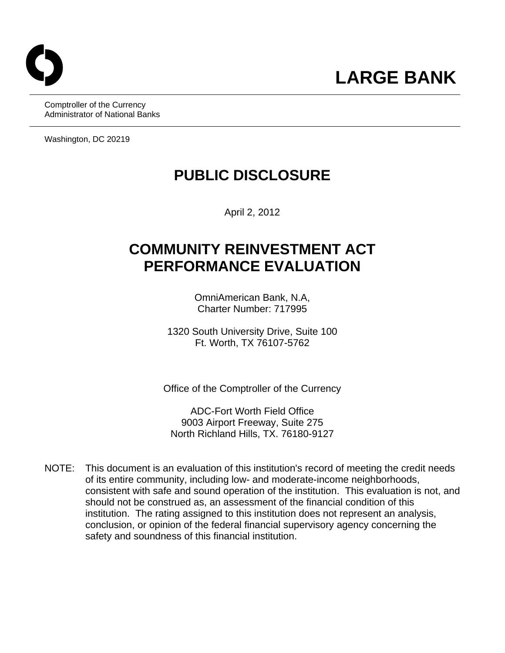Comptroller of the Currency Administrator of National Banks

Washington, DC 20219

# **PUBLIC DISCLOSURE**

April 2, 2012

# **COMMUNITY REINVESTMENT ACT PERFORMANCE EVALUATION**

OmniAmerican Bank, N.A, Charter Number: 717995

1320 South University Drive, Suite 100 Ft. Worth, TX 76107-5762

Office of the Comptroller of the Currency

ADC-Fort Worth Field Office 9003 Airport Freeway, Suite 275 North Richland Hills, TX. 76180-9127

NOTE: This document is an evaluation of this institution's record of meeting the credit needs of its entire community, including low- and moderate-income neighborhoods, consistent with safe and sound operation of the institution. This evaluation is not, and should not be construed as, an assessment of the financial condition of this institution. The rating assigned to this institution does not represent an analysis, conclusion, or opinion of the federal financial supervisory agency concerning the safety and soundness of this financial institution.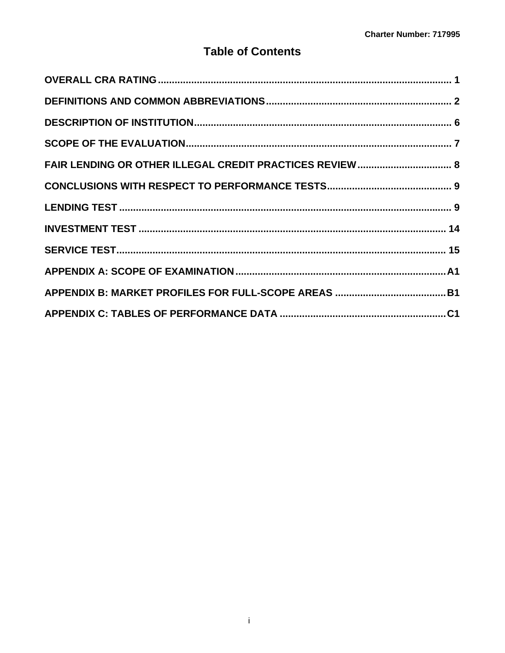## **Table of Contents**

| FAIR LENDING OR OTHER ILLEGAL CREDIT PRACTICES REVIEW  8 |  |
|----------------------------------------------------------|--|
|                                                          |  |
|                                                          |  |
|                                                          |  |
|                                                          |  |
|                                                          |  |
|                                                          |  |
|                                                          |  |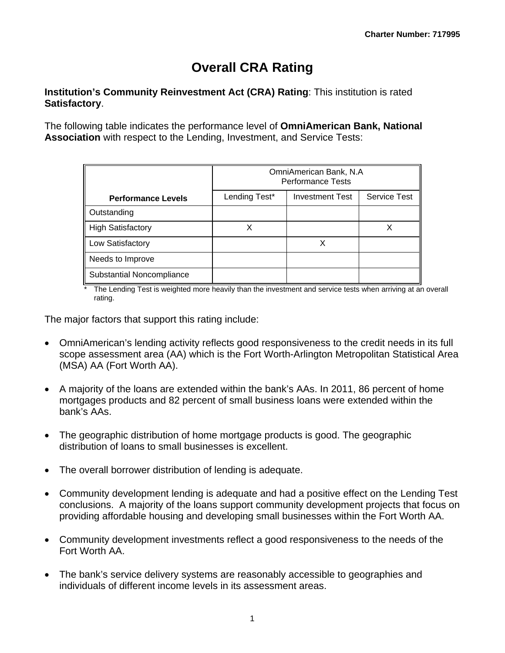# **Overall CRA Rating**

#### **Institution's Community Reinvestment Act (CRA) Rating**: This institution is rated **Satisfactory**.

The following table indicates the performance level of **OmniAmerican Bank, National Association** with respect to the Lending, Investment, and Service Tests:

|                           | OmniAmerican Bank, N.A<br><b>Performance Tests</b> |                        |                     |  |  |  |  |  |  |  |  |
|---------------------------|----------------------------------------------------|------------------------|---------------------|--|--|--|--|--|--|--|--|
| <b>Performance Levels</b> | Lending Test*                                      | <b>Investment Test</b> | <b>Service Test</b> |  |  |  |  |  |  |  |  |
| Outstanding               |                                                    |                        |                     |  |  |  |  |  |  |  |  |
| <b>High Satisfactory</b>  |                                                    |                        |                     |  |  |  |  |  |  |  |  |
| Low Satisfactory          |                                                    |                        |                     |  |  |  |  |  |  |  |  |
| Needs to Improve          |                                                    |                        |                     |  |  |  |  |  |  |  |  |
| Substantial Noncompliance |                                                    |                        |                     |  |  |  |  |  |  |  |  |

\* The Lending Test is weighted more heavily than the investment and service tests when arriving at an overall rating.

The major factors that support this rating include:

- OmniAmerican's lending activity reflects good responsiveness to the credit needs in its full scope assessment area (AA) which is the Fort Worth-Arlington Metropolitan Statistical Area (MSA) AA (Fort Worth AA).
- A majority of the loans are extended within the bank's AAs. In 2011, 86 percent of home mortgages products and 82 percent of small business loans were extended within the bank's AAs.
- The geographic distribution of home mortgage products is good. The geographic distribution of loans to small businesses is excellent.
- The overall borrower distribution of lending is adequate.
- Community development lending is adequate and had a positive effect on the Lending Test conclusions. A majority of the loans support community development projects that focus on providing affordable housing and developing small businesses within the Fort Worth AA.
- Community development investments reflect a good responsiveness to the needs of the Fort Worth AA.
- The bank's service delivery systems are reasonably accessible to geographies and individuals of different income levels in its assessment areas.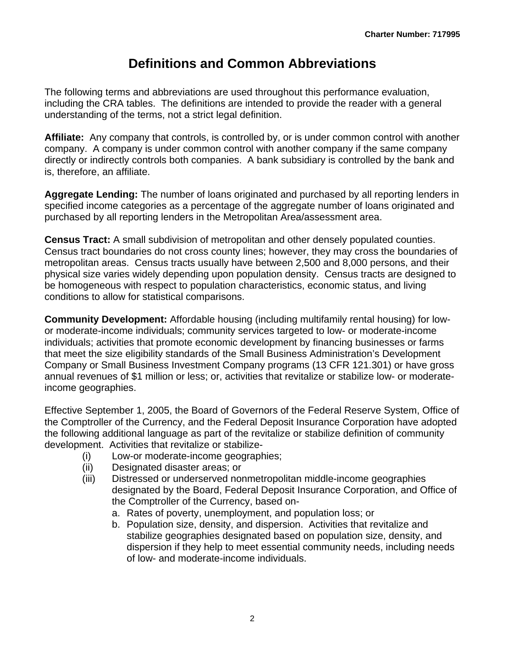# **Definitions and Common Abbreviations**

<span id="page-3-0"></span>The following terms and abbreviations are used throughout this performance evaluation, including the CRA tables. The definitions are intended to provide the reader with a general understanding of the terms, not a strict legal definition.

**Affiliate:** Any company that controls, is controlled by, or is under common control with another company. A company is under common control with another company if the same company directly or indirectly controls both companies. A bank subsidiary is controlled by the bank and is, therefore, an affiliate.

**Aggregate Lending:** The number of loans originated and purchased by all reporting lenders in specified income categories as a percentage of the aggregate number of loans originated and purchased by all reporting lenders in the Metropolitan Area/assessment area.

 **Census Tract:** A small subdivision of metropolitan and other densely populated counties. Census tract boundaries do not cross county lines; however, they may cross the boundaries of metropolitan areas. Census tracts usually have between 2,500 and 8,000 persons, and their physical size varies widely depending upon population density. Census tracts are designed to be homogeneous with respect to population characteristics, economic status, and living conditions to allow for statistical comparisons.

**Community Development:** Affordable housing (including multifamily rental housing) for lowor moderate-income individuals; community services targeted to low- or moderate-income individuals; activities that promote economic development by financing businesses or farms that meet the size eligibility standards of the Small Business Administration's Development Company or Small Business Investment Company programs (13 CFR 121.301) or have gross annual revenues of \$1 million or less; or, activities that revitalize or stabilize low- or moderateincome geographies.

Effective September 1, 2005, the Board of Governors of the Federal Reserve System, Office of the Comptroller of the Currency, and the Federal Deposit Insurance Corporation have adopted the following additional language as part of the revitalize or stabilize definition of community development. Activities that revitalize or stabilize-

- (i) Low-or moderate-income geographies;
- (ii) Designated disaster areas; or
- (iii) Distressed or underserved nonmetropolitan middle-income geographies designated by the Board, Federal Deposit Insurance Corporation, and Office of the Comptroller of the Currency, based on
	- a. Rates of poverty, unemployment, and population loss; or
	- b. Population size, density, and dispersion. Activities that revitalize and stabilize geographies designated based on population size, density, and dispersion if they help to meet essential community needs, including needs of low- and moderate-income individuals.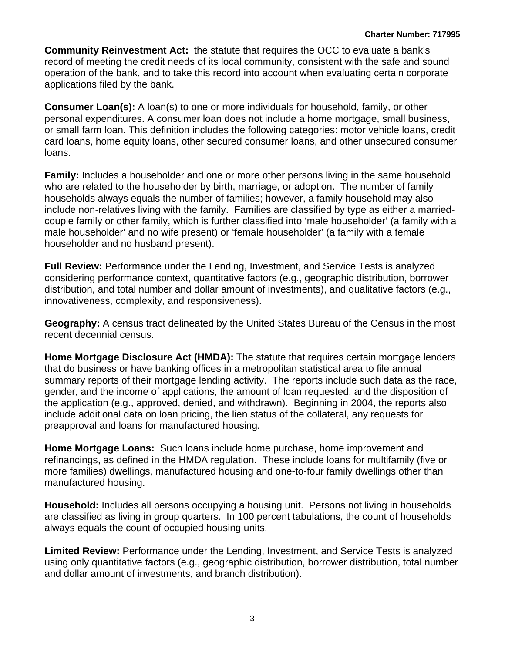**Community Reinvestment Act:** the statute that requires the OCC to evaluate a bank's record of meeting the credit needs of its local community, consistent with the safe and sound operation of the bank, and to take this record into account when evaluating certain corporate applications filed by the bank.

**Consumer Loan(s):** A loan(s) to one or more individuals for household, family, or other personal expenditures. A consumer loan does not include a home mortgage, small business, or small farm loan. This definition includes the following categories: motor vehicle loans, credit card loans, home equity loans, other secured consumer loans, and other unsecured consumer loans.

**Family:** Includes a householder and one or more other persons living in the same household who are related to the householder by birth, marriage, or adoption. The number of family households always equals the number of families; however, a family household may also include non-relatives living with the family. Families are classified by type as either a marriedcouple family or other family, which is further classified into 'male householder' (a family with a male householder' and no wife present) or 'female householder' (a family with a female householder and no husband present).

**Full Review:** Performance under the Lending, Investment, and Service Tests is analyzed considering performance context, quantitative factors (e.g., geographic distribution, borrower distribution, and total number and dollar amount of investments), and qualitative factors (e.g., innovativeness, complexity, and responsiveness).

**Geography:** A census tract delineated by the United States Bureau of the Census in the most recent decennial census.

**Home Mortgage Disclosure Act (HMDA):** The statute that requires certain mortgage lenders that do business or have banking offices in a metropolitan statistical area to file annual summary reports of their mortgage lending activity. The reports include such data as the race, gender, and the income of applications, the amount of loan requested, and the disposition of the application (e.g., approved, denied, and withdrawn). Beginning in 2004, the reports also include additional data on loan pricing, the lien status of the collateral, any requests for preapproval and loans for manufactured housing.

**Home Mortgage Loans:** Such loans include home purchase, home improvement and refinancings, as defined in the HMDA regulation. These include loans for multifamily (five or more families) dwellings, manufactured housing and one-to-four family dwellings other than manufactured housing.

**Household:** Includes all persons occupying a housing unit. Persons not living in households are classified as living in group quarters. In 100 percent tabulations, the count of households always equals the count of occupied housing units.

**Limited Review:** Performance under the Lending, Investment, and Service Tests is analyzed using only quantitative factors (e.g., geographic distribution, borrower distribution, total number and dollar amount of investments, and branch distribution).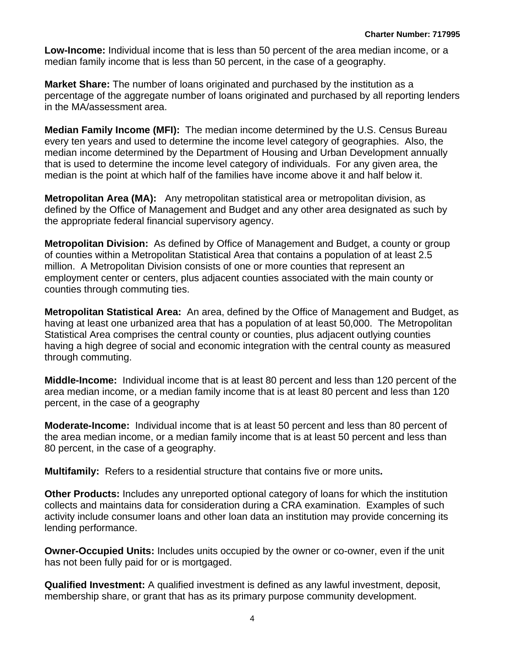**Low-Income:** Individual income that is less than 50 percent of the area median income, or a median family income that is less than 50 percent, in the case of a geography.

**Market Share:** The number of loans originated and purchased by the institution as a percentage of the aggregate number of loans originated and purchased by all reporting lenders in the MA/assessment area.

**Median Family Income (MFI):** The median income determined by the U.S. Census Bureau every ten years and used to determine the income level category of geographies. Also, the median income determined by the Department of Housing and Urban Development annually that is used to determine the income level category of individuals. For any given area, the median is the point at which half of the families have income above it and half below it.

**Metropolitan Area (MA):** Any metropolitan statistical area or metropolitan division, as defined by the Office of Management and Budget and any other area designated as such by the appropriate federal financial supervisory agency.

**Metropolitan Division:** As defined by Office of Management and Budget, a county or group of counties within a Metropolitan Statistical Area that contains a population of at least 2.5 million. A Metropolitan Division consists of one or more counties that represent an employment center or centers, plus adjacent counties associated with the main county or counties through commuting ties.

**Metropolitan Statistical Area:** An area, defined by the Office of Management and Budget, as having at least one urbanized area that has a population of at least 50,000. The Metropolitan Statistical Area comprises the central county or counties, plus adjacent outlying counties having a high degree of social and economic integration with the central county as measured through commuting.

**Middle-Income:** Individual income that is at least 80 percent and less than 120 percent of the area median income, or a median family income that is at least 80 percent and less than 120 percent, in the case of a geography

**Moderate-Income:** Individual income that is at least 50 percent and less than 80 percent of the area median income, or a median family income that is at least 50 percent and less than 80 percent, in the case of a geography.

**Multifamily:** Refers to a residential structure that contains five or more units**.** 

**Other Products:** Includes any unreported optional category of loans for which the institution collects and maintains data for consideration during a CRA examination. Examples of such activity include consumer loans and other loan data an institution may provide concerning its lending performance.

**Owner-Occupied Units:** Includes units occupied by the owner or co-owner, even if the unit has not been fully paid for or is mortgaged.

**Qualified Investment:** A qualified investment is defined as any lawful investment, deposit, membership share, or grant that has as its primary purpose community development.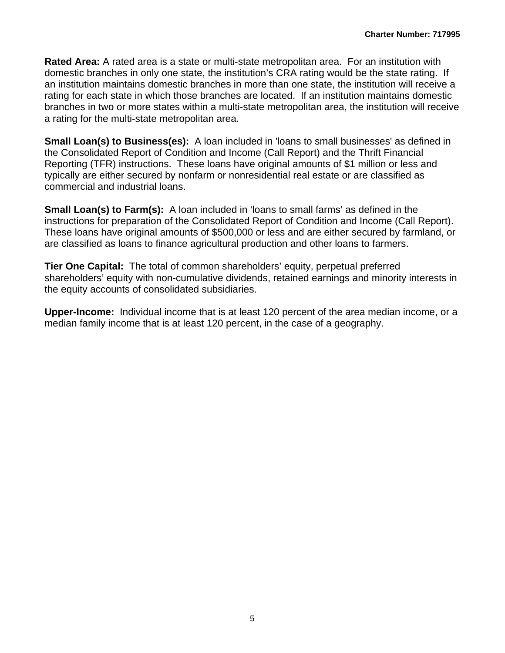a rating for the multi-state metropolitan area. **Rated Area:** A rated area is a state or multi-state metropolitan area. For an institution with domestic branches in only one state, the institution's CRA rating would be the state rating. If an institution maintains domestic branches in more than one state, the institution will receive a rating for each state in which those branches are located. If an institution maintains domestic branches in two or more states within a multi-state metropolitan area, the institution will receive

**Small Loan(s) to Business(es):** A loan included in 'loans to small businesses' as defined in the Consolidated Report of Condition and Income (Call Report) and the Thrift Financial Reporting (TFR) instructions. These loans have original amounts of \$1 million or less and typically are either secured by nonfarm or nonresidential real estate or are classified as commercial and industrial loans.

**Small Loan(s) to Farm(s):** A loan included in 'loans to small farms' as defined in the instructions for preparation of the Consolidated Report of Condition and Income (Call Report). These loans have original amounts of \$500,000 or less and are either secured by farmland, or are classified as loans to finance agricultural production and other loans to farmers.

**Tier One Capital:** The total of common shareholders' equity, perpetual preferred shareholders' equity with non-cumulative dividends, retained earnings and minority interests in the equity accounts of consolidated subsidiaries.

**Upper-Income:** Individual income that is at least 120 percent of the area median income, or a median family income that is at least 120 percent, in the case of a geography.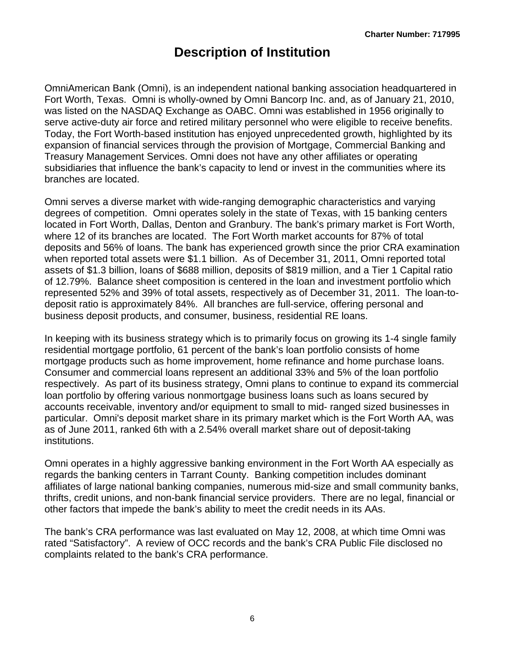# **Description of Institution**

<span id="page-7-0"></span>OmniAmerican Bank (Omni), is an independent national banking association headquartered in Fort Worth, Texas. Omni is wholly-owned by Omni Bancorp Inc. and, as of January 21, 2010, was listed on the NASDAQ Exchange as OABC. Omni was established in 1956 originally to serve active-duty air force and retired military personnel who were eligible to receive benefits. Today, the Fort Worth-based institution has enjoyed unprecedented growth, highlighted by its expansion of financial services through the provision of Mortgage, Commercial Banking and Treasury Management Services. Omni does not have any other affiliates or operating subsidiaries that influence the bank's capacity to lend or invest in the communities where its branches are located.

Omni serves a diverse market with wide-ranging demographic characteristics and varying degrees of competition. Omni operates solely in the state of Texas, with 15 banking centers located in Fort Worth, Dallas, Denton and Granbury. The bank's primary market is Fort Worth, where 12 of its branches are located. The Fort Worth market accounts for 87% of total deposits and 56% of loans. The bank has experienced growth since the prior CRA examination when reported total assets were \$1.1 billion. As of December 31, 2011, Omni reported total assets of \$1.3 billion, loans of \$688 million, deposits of \$819 million, and a Tier 1 Capital ratio of 12.79%. Balance sheet composition is centered in the loan and investment portfolio which represented 52% and 39% of total assets, respectively as of December 31, 2011. The loan-todeposit ratio is approximately 84%. All branches are full-service, offering personal and business deposit products, and consumer, business, residential RE loans.

In keeping with its business strategy which is to primarily focus on growing its 1-4 single family residential mortgage portfolio, 61 percent of the bank's loan portfolio consists of home mortgage products such as home improvement, home refinance and home purchase loans. Consumer and commercial loans represent an additional 33% and 5% of the loan portfolio respectively. As part of its business strategy, Omni plans to continue to expand its commercial loan portfolio by offering various nonmortgage business loans such as loans secured by accounts receivable, inventory and/or equipment to small to mid- ranged sized businesses in particular. Omni's deposit market share in its primary market which is the Fort Worth AA, was as of June 2011, ranked 6th with a 2.54% overall market share out of deposit-taking institutions.

Omni operates in a highly aggressive banking environment in the Fort Worth AA especially as regards the banking centers in Tarrant County. Banking competition includes dominant affiliates of large national banking companies, numerous mid-size and small community banks, thrifts, credit unions, and non-bank financial service providers. There are no legal, financial or other factors that impede the bank's ability to meet the credit needs in its AAs.

The bank's CRA performance was last evaluated on May 12, 2008, at which time Omni was rated "Satisfactory". A review of OCC records and the bank's CRA Public File disclosed no complaints related to the bank's CRA performance.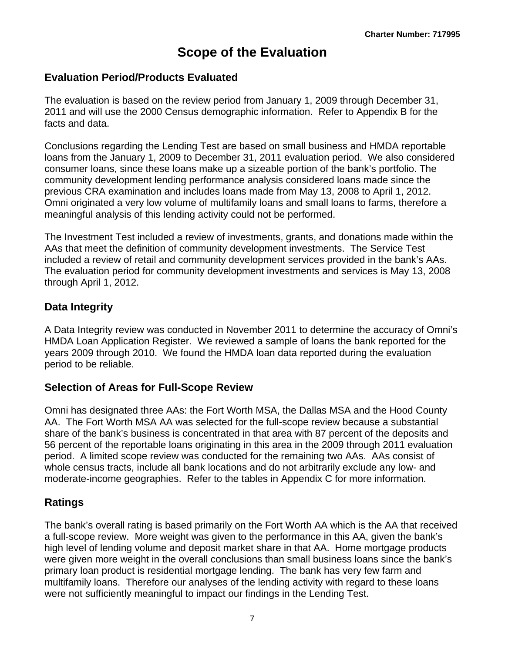# **Scope of the Evaluation**

### <span id="page-8-0"></span>**Evaluation Period/Products Evaluated**

 The evaluation is based on the review period from January 1, 2009 through December 31,  2011 and will use the 2000 Census demographic information. Refer to Appendix B for the facts and data.

Conclusions regarding the Lending Test are based on small business and HMDA reportable loans from the January 1, 2009 to December 31, 2011 evaluation period. We also considered consumer loans, since these loans make up a sizeable portion of the bank's portfolio. The community development lending performance analysis considered loans made since the previous CRA examination and includes loans made from May 13, 2008 to April 1, 2012. Omni originated a very low volume of multifamily loans and small loans to farms, therefore a meaningful analysis of this lending activity could not be performed.

The Investment Test included a review of investments, grants, and donations made within the AAs that meet the definition of community development investments. The Service Test included a review of retail and community development services provided in the bank's AAs. The evaluation period for community development investments and services is May 13, 2008 through April 1, 2012.

### **Data Integrity**

A Data Integrity review was conducted in November 2011 to determine the accuracy of Omni's HMDA Loan Application Register. We reviewed a sample of loans the bank reported for the years 2009 through 2010. We found the HMDA loan data reported during the evaluation period to be reliable.

### **Selection of Areas for Full-Scope Review**

moderate-income geographies. Refer to the tables in Appendix C for more information. Omni has designated three AAs: the Fort Worth MSA, the Dallas MSA and the Hood County AA. The Fort Worth MSA AA was selected for the full-scope review because a substantial share of the bank's business is concentrated in that area with 87 percent of the deposits and 56 percent of the reportable loans originating in this area in the 2009 through 2011 evaluation period. A limited scope review was conducted for the remaining two AAs. AAs consist of whole census tracts, include all bank locations and do not arbitrarily exclude any low- and

### **Ratings**

The bank's overall rating is based primarily on the Fort Worth AA which is the AA that received a full-scope review. More weight was given to the performance in this AA, given the bank's high level of lending volume and deposit market share in that AA. Home mortgage products were given more weight in the overall conclusions than small business loans since the bank's primary loan product is residential mortgage lending. The bank has very few farm and multifamily loans. Therefore our analyses of the lending activity with regard to these loans were not sufficiently meaningful to impact our findings in the Lending Test.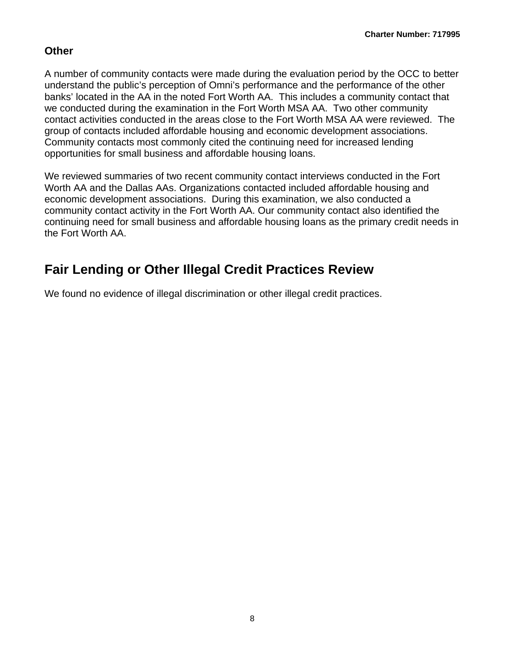## <span id="page-9-0"></span>**Other**

A number of community contacts were made during the evaluation period by the OCC to better understand the public's perception of Omni's performance and the performance of the other banks' located in the AA in the noted Fort Worth AA. This includes a community contact that we conducted during the examination in the Fort Worth MSA AA. Two other community contact activities conducted in the areas close to the Fort Worth MSA AA were reviewed. The group of contacts included affordable housing and economic development associations. Community contacts most commonly cited the continuing need for increased lending opportunities for small business and affordable housing loans.

We reviewed summaries of two recent community contact interviews conducted in the Fort Worth AA and the Dallas AAs. Organizations contacted included affordable housing and economic development associations. During this examination, we also conducted a community contact activity in the Fort Worth AA. Our community contact also identified the continuing need for small business and affordable housing loans as the primary credit needs in the Fort Worth AA.

# **Fair Lending or Other Illegal Credit Practices Review**

We found no evidence of illegal discrimination or other illegal credit practices.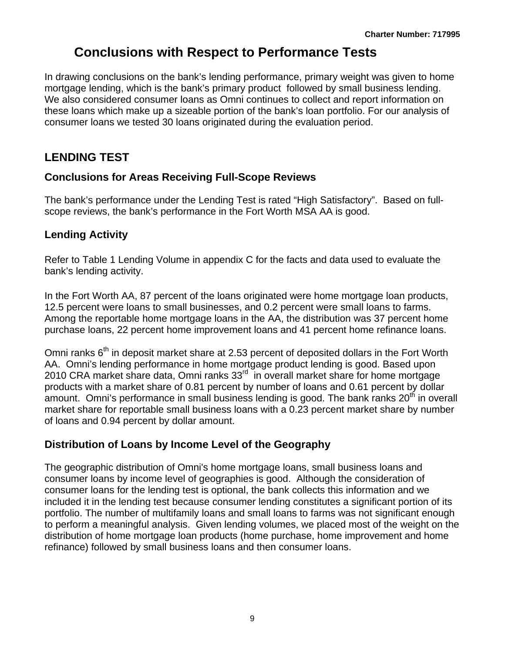## **Conclusions with Respect to Performance Tests**

<span id="page-10-0"></span>In drawing conclusions on the bank's lending performance, primary weight was given to home mortgage lending, which is the bank's primary product followed by small business lending. We also considered consumer loans as Omni continues to collect and report information on these loans which make up a sizeable portion of the bank's loan portfolio. For our analysis of consumer loans we tested 30 loans originated during the evaluation period.

## **LENDING TEST**

## **Conclusions for Areas Receiving Full-Scope Reviews**

The bank's performance under the Lending Test is rated "High Satisfactory". Based on fullscope reviews, the bank's performance in the Fort Worth MSA AA is good.

## **Lending Activity**

Refer to Table 1 Lending Volume in appendix C for the facts and data used to evaluate the bank's lending activity.

In the Fort Worth AA, 87 percent of the loans originated were home mortgage loan products, 12.5 percent were loans to small businesses, and 0.2 percent were small loans to farms. Among the reportable home mortgage loans in the AA, the distribution was 37 percent home purchase loans, 22 percent home improvement loans and 41 percent home refinance loans.

Omni ranks 6<sup>th</sup> in deposit market share at 2.53 percent of deposited dollars in the Fort Worth AA. Omni's lending performance in home mortgage product lending is good. Based upon 2010 CRA market share data, Omni ranks 33<sup>rd</sup> in overall market share for home mortgage products with a market share of 0.81 percent by number of loans and 0.61 percent by dollar amount. Omni's performance in small business lending is good. The bank ranks  $20<sup>th</sup>$  in overall market share for reportable small business loans with a 0.23 percent market share by number of loans and 0.94 percent by dollar amount.

## **Distribution of Loans by Income Level of the Geography**

The geographic distribution of Omni's home mortgage loans, small business loans and consumer loans by income level of geographies is good. Although the consideration of consumer loans for the lending test is optional, the bank collects this information and we included it in the lending test because consumer lending constitutes a significant portion of its portfolio. The number of multifamily loans and small loans to farms was not significant enough to perform a meaningful analysis. Given lending volumes, we placed most of the weight on the distribution of home mortgage loan products (home purchase, home improvement and home refinance) followed by small business loans and then consumer loans.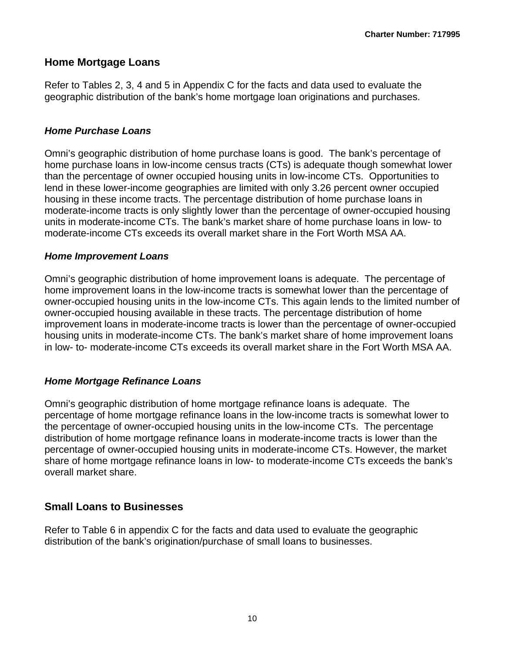### **Home Mortgage Loans**

Refer to Tables 2, 3, 4 and 5 in Appendix C for the facts and data used to evaluate the geographic distribution of the bank's home mortgage loan originations and purchases.

#### *Home Purchase Loans*

Omni's geographic distribution of home purchase loans is good. The bank's percentage of home purchase loans in low-income census tracts (CTs) is adequate though somewhat lower than the percentage of owner occupied housing units in low-income CTs. Opportunities to lend in these lower-income geographies are limited with only 3.26 percent owner occupied housing in these income tracts. The percentage distribution of home purchase loans in moderate-income tracts is only slightly lower than the percentage of owner-occupied housing units in moderate-income CTs. The bank's market share of home purchase loans in low- to moderate-income CTs exceeds its overall market share in the Fort Worth MSA AA.

#### *Home Improvement Loans*

Omni's geographic distribution of home improvement loans is adequate. The percentage of home improvement loans in the low-income tracts is somewhat lower than the percentage of owner-occupied housing units in the low-income CTs. This again lends to the limited number of owner-occupied housing available in these tracts. The percentage distribution of home improvement loans in moderate-income tracts is lower than the percentage of owner-occupied housing units in moderate-income CTs. The bank's market share of home improvement loans in low- to- moderate-income CTs exceeds its overall market share in the Fort Worth MSA AA.

#### *Home Mortgage Refinance Loans*

Omni's geographic distribution of home mortgage refinance loans is adequate. The percentage of home mortgage refinance loans in the low-income tracts is somewhat lower to the percentage of owner-occupied housing units in the low-income CTs. The percentage distribution of home mortgage refinance loans in moderate-income tracts is lower than the percentage of owner-occupied housing units in moderate-income CTs. However, the market share of home mortgage refinance loans in low- to moderate-income CTs exceeds the bank's overall market share.

### **Small Loans to Businesses**

Refer to Table 6 in appendix C for the facts and data used to evaluate the geographic distribution of the bank's origination/purchase of small loans to businesses.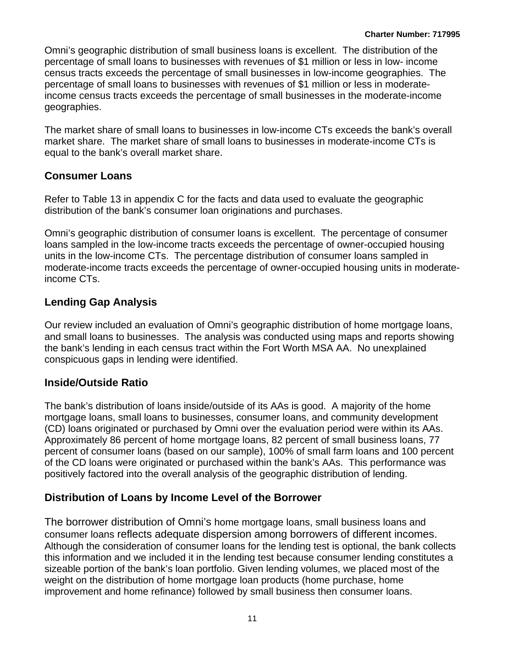Omni's geographic distribution of small business loans is excellent. The distribution of the percentage of small loans to businesses with revenues of \$1 million or less in low- income census tracts exceeds the percentage of small businesses in low-income geographies. The percentage of small loans to businesses with revenues of \$1 million or less in moderateincome census tracts exceeds the percentage of small businesses in the moderate-income geographies.

The market share of small loans to businesses in low-income CTs exceeds the bank's overall market share. The market share of small loans to businesses in moderate-income CTs is equal to the bank's overall market share.

### **Consumer Loans**

Refer to Table 13 in appendix C for the facts and data used to evaluate the geographic distribution of the bank's consumer loan originations and purchases.

Omni's geographic distribution of consumer loans is excellent. The percentage of consumer loans sampled in the low-income tracts exceeds the percentage of owner-occupied housing units in the low-income CTs. The percentage distribution of consumer loans sampled in moderate-income tracts exceeds the percentage of owner-occupied housing units in moderateincome CTs.

## **Lending Gap Analysis**

Our review included an evaluation of Omni's geographic distribution of home mortgage loans, and small loans to businesses. The analysis was conducted using maps and reports showing the bank's lending in each census tract within the Fort Worth MSA AA. No unexplained conspicuous gaps in lending were identified.

### **Inside/Outside Ratio**

of the CD loans were originated or purchased within the bank's AAs. This performance was The bank's distribution of loans inside/outside of its AAs is good. A majority of the home mortgage loans, small loans to businesses, consumer loans, and community development (CD) loans originated or purchased by Omni over the evaluation period were within its AAs. Approximately 86 percent of home mortgage loans, 82 percent of small business loans, 77 percent of consumer loans (based on our sample), 100% of small farm loans and 100 percent positively factored into the overall analysis of the geographic distribution of lending.

### **Distribution of Loans by Income Level of the Borrower**

consumer loans reflects adequate dispersion among borrowers of different incomes. The borrower distribution of Omni's home mortgage loans, small business loans and Although the consideration of consumer loans for the lending test is optional, the bank collects this information and we included it in the lending test because consumer lending constitutes a sizeable portion of the bank's loan portfolio. Given lending volumes, we placed most of the weight on the distribution of home mortgage loan products (home purchase, home improvement and home refinance) followed by small business then consumer loans.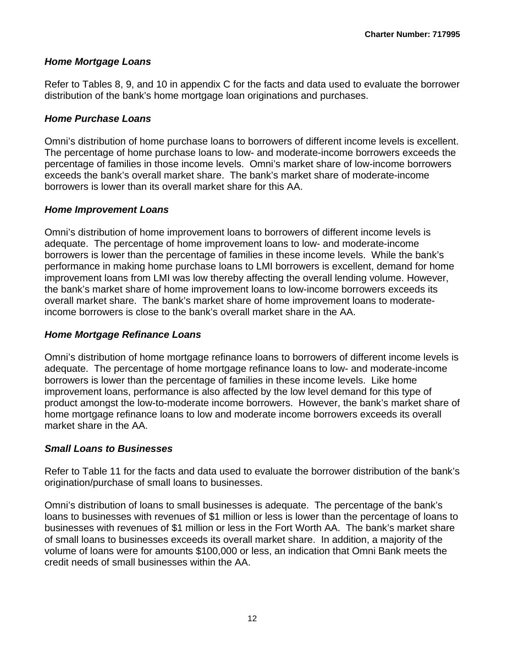#### *Home Mortgage Loans*

Refer to Tables 8, 9, and 10 in appendix C for the facts and data used to evaluate the borrower distribution of the bank's home mortgage loan originations and purchases.

#### *Home Purchase Loans*

Omni's distribution of home purchase loans to borrowers of different income levels is excellent. The percentage of home purchase loans to low- and moderate-income borrowers exceeds the percentage of families in those income levels. Omni's market share of low-income borrowers exceeds the bank's overall market share. The bank's market share of moderate-income borrowers is lower than its overall market share for this AA.

#### *Home Improvement Loans*

Omni's distribution of home improvement loans to borrowers of different income levels is adequate. The percentage of home improvement loans to low- and moderate-income borrowers is lower than the percentage of families in these income levels. While the bank's performance in making home purchase loans to LMI borrowers is excellent, demand for home improvement loans from LMI was low thereby affecting the overall lending volume. However, the bank's market share of home improvement loans to low-income borrowers exceeds its overall market share. The bank's market share of home improvement loans to moderateincome borrowers is close to the bank's overall market share in the AA.

#### *Home Mortgage Refinance Loans*

Omni's distribution of home mortgage refinance loans to borrowers of different income levels is adequate. The percentage of home mortgage refinance loans to low- and moderate-income borrowers is lower than the percentage of families in these income levels. Like home improvement loans, performance is also affected by the low level demand for this type of product amongst the low-to-moderate income borrowers. However, the bank's market share of home mortgage refinance loans to low and moderate income borrowers exceeds its overall market share in the AA.

#### *Small Loans to Businesses*

Refer to Table 11 for the facts and data used to evaluate the borrower distribution of the bank's origination/purchase of small loans to businesses.

 Omni's distribution of loans to small businesses is adequate. The percentage of the bank's loans to businesses with revenues of \$1 million or less is lower than the percentage of loans to businesses with revenues of \$1 million or less in the Fort Worth AA. The bank's market share of small loans to businesses exceeds its overall market share. In addition, a majority of the volume of loans were for amounts \$100,000 or less, an indication that Omni Bank meets the credit needs of small businesses within the AA.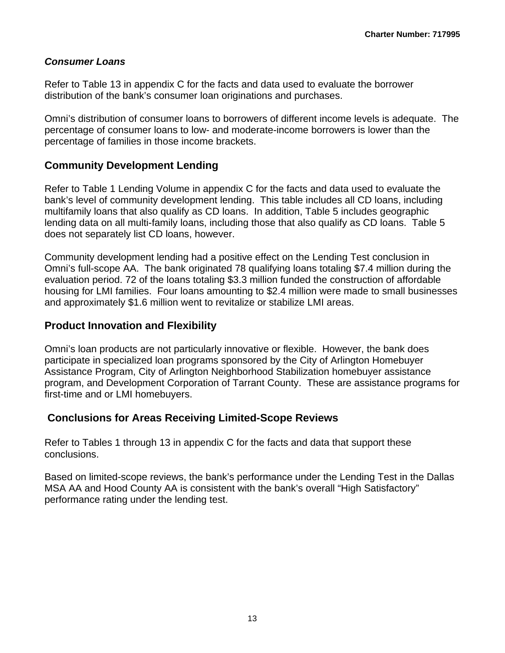#### *Consumer Loans*

Refer to Table 13 in appendix C for the facts and data used to evaluate the borrower distribution of the bank's consumer loan originations and purchases.

Omni's distribution of consumer loans to borrowers of different income levels is adequate. The percentage of consumer loans to low- and moderate-income borrowers is lower than the percentage of families in those income brackets.

#### **Community Development Lending**

Refer to Table 1 Lending Volume in appendix C for the facts and data used to evaluate the bank's level of community development lending. This table includes all CD loans, including multifamily loans that also qualify as CD loans. In addition, Table 5 includes geographic lending data on all multi-family loans, including those that also qualify as CD loans. Table 5 does not separately list CD loans, however.

Community development lending had a positive effect on the Lending Test conclusion in Omni's full-scope AA. The bank originated 78 qualifying loans totaling \$7.4 million during the evaluation period. 72 of the loans totaling \$3.3 million funded the construction of affordable housing for LMI families. Four loans amounting to \$2.4 million were made to small businesses and approximately \$1.6 million went to revitalize or stabilize LMI areas.

#### **Product Innovation and Flexibility**

Omni's loan products are not particularly innovative or flexible. However, the bank does participate in specialized loan programs sponsored by the City of Arlington Homebuyer Assistance Program, City of Arlington Neighborhood Stabilization homebuyer assistance program, and Development Corporation of Tarrant County. These are assistance programs for first-time and or LMI homebuyers.

#### **Conclusions for Areas Receiving Limited-Scope Reviews**

Refer to Tables 1 through 13 in appendix C for the facts and data that support these conclusions.

Based on limited-scope reviews, the bank's performance under the Lending Test in the Dallas MSA AA and Hood County AA is consistent with the bank's overall "High Satisfactory" performance rating under the lending test.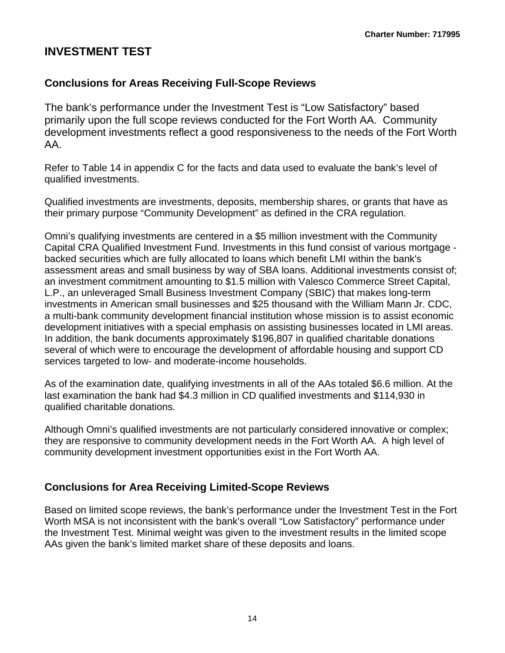## <span id="page-15-0"></span>**INVESTMENT TEST**

## **Conclusions for Areas Receiving Full-Scope Reviews**

The bank's performance under the Investment Test is "Low Satisfactory" based primarily upon the full scope reviews conducted for the Fort Worth AA. Community development investments reflect a good responsiveness to the needs of the Fort Worth AA.

Refer to Table 14 in appendix C for the facts and data used to evaluate the bank's level of qualified investments.

Qualified investments are investments, deposits, membership shares, or grants that have as their primary purpose "Community Development" as defined in the CRA regulation.

Omni's qualifying investments are centered in a \$5 million investment with the Community Capital CRA Qualified Investment Fund. Investments in this fund consist of various mortgage backed securities which are fully allocated to loans which benefit LMI within the bank's assessment areas and small business by way of SBA loans. Additional investments consist of; an investment commitment amounting to \$1.5 million with Valesco Commerce Street Capital, L.P., an unleveraged Small Business Investment Company (SBIC) that makes long-term investments in American small businesses and \$25 thousand with the William Mann Jr. CDC, a multi-bank community development financial institution whose mission is to assist economic development initiatives with a special emphasis on assisting businesses located in LMI areas. In addition, the bank documents approximately \$196,807 in qualified charitable donations several of which were to encourage the development of affordable housing and support CD services targeted to low- and moderate-income households.

As of the examination date, qualifying investments in all of the AAs totaled \$6.6 million. At the last examination the bank had \$4.3 million in CD qualified investments and \$114,930 in qualified charitable donations.

Although Omni's qualified investments are not particularly considered innovative or complex; they are responsive to community development needs in the Fort Worth AA. A high level of community development investment opportunities exist in the Fort Worth AA.

### **Conclusions for Area Receiving Limited-Scope Reviews**

Based on limited scope reviews, the bank's performance under the Investment Test in the Fort Worth MSA is not inconsistent with the bank's overall "Low Satisfactory" performance under the Investment Test. Minimal weight was given to the investment results in the limited scope AAs given the bank's limited market share of these deposits and loans.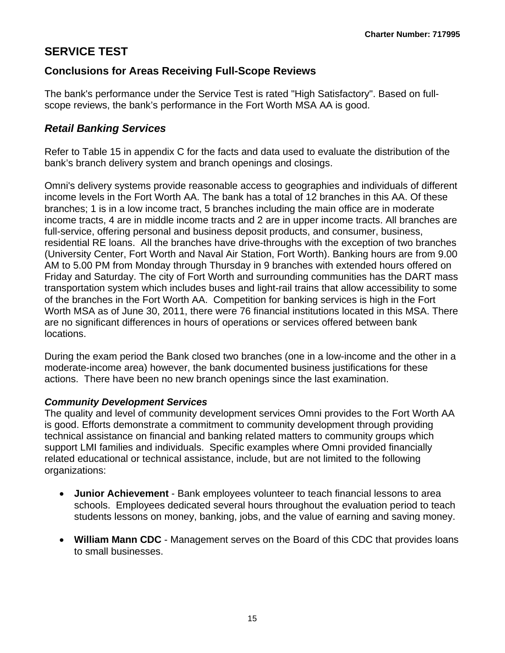## <span id="page-16-0"></span>**SERVICE TEST**

## **Conclusions for Areas Receiving Full-Scope Reviews**

The bank's performance under the Service Test is rated "High Satisfactory". Based on fullscope reviews, the bank's performance in the Fort Worth MSA AA is good.

## *Retail Banking Services*

Refer to Table 15 in appendix C for the facts and data used to evaluate the distribution of the bank's branch delivery system and branch openings and closings.

 Omni's delivery systems provide reasonable access to geographies and individuals of different income levels in the Fort Worth AA. The bank has a total of 12 branches in this AA. Of these branches; 1 is in a low income tract, 5 branches including the main office are in moderate income tracts, 4 are in middle income tracts and 2 are in upper income tracts. All branches are full-service, offering personal and business deposit products, and consumer, business, residential RE loans. All the branches have drive-throughs with the exception of two branches (University Center, Fort Worth and Naval Air Station, Fort Worth). Banking hours are from 9.00 AM to 5.00 PM from Monday through Thursday in 9 branches with extended hours offered on Friday and Saturday. The city of Fort Worth and surrounding communities has the DART mass transportation system which includes buses and light-rail trains that allow accessibility to some of the branches in the Fort Worth AA. Competition for banking services is high in the Fort Worth MSA as of June 30, 2011, there were 76 financial institutions located in this MSA. There are no significant differences in hours of operations or services offered between bank locations.

During the exam period the Bank closed two branches (one in a low-income and the other in a moderate-income area) however, the bank documented business justifications for these actions. There have been no new branch openings since the last examination.

#### *Community Development Services*

The quality and level of community development services Omni provides to the Fort Worth AA is good. Efforts demonstrate a commitment to community development through providing technical assistance on financial and banking related matters to community groups which support LMI families and individuals. Specific examples where Omni provided financially related educational or technical assistance, include, but are not limited to the following organizations:

- **Junior Achievement** Bank employees volunteer to teach financial lessons to area schools. Employees dedicated several hours throughout the evaluation period to teach students lessons on money, banking, jobs, and the value of earning and saving money.
- **William Mann CDC** Management serves on the Board of this CDC that provides loans to small businesses.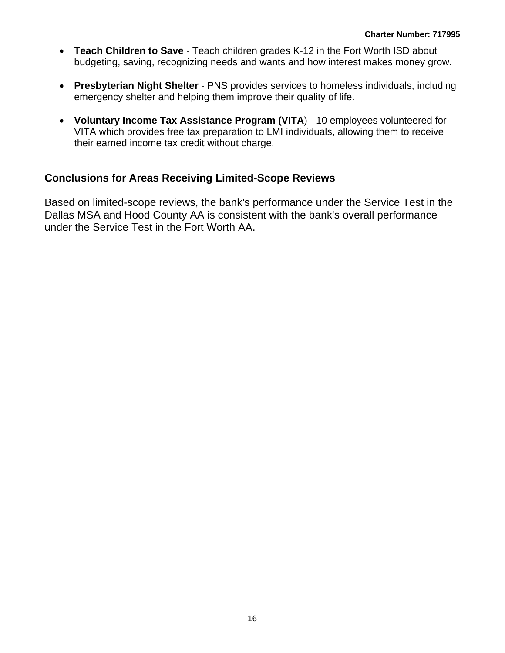- **Teach Children to Save** Teach children grades K-12 in the Fort Worth ISD about budgeting, saving, recognizing needs and wants and how interest makes money grow.
- **Presbyterian Night Shelter** PNS provides services to homeless individuals, including emergency shelter and helping them improve their quality of life.
- **Voluntary Income Tax Assistance Program (VITA**) 10 employees volunteered for VITA which provides free tax preparation to LMI individuals, allowing them to receive their earned income tax credit without charge.

### **Conclusions for Areas Receiving Limited-Scope Reviews**

Based on limited-scope reviews, the bank's performance under the Service Test in the Dallas MSA and Hood County AA is consistent with the bank's overall performance under the Service Test in the Fort Worth AA.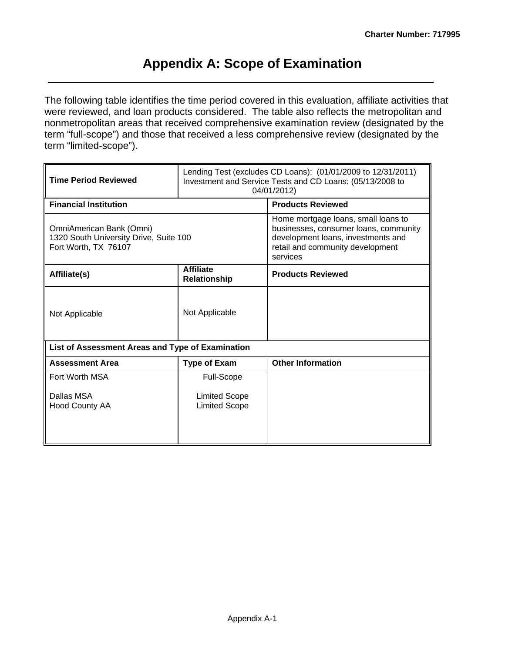## **Appendix A: Scope of Examination**

The following table identifies the time period covered in this evaluation, affiliate activities that were reviewed, and loan products considered. The table also reflects the metropolitan and nonmetropolitan areas that received comprehensive examination review (designated by the term "full-scope") and those that received a less comprehensive review (designated by the term "limited-scope").

| <b>Time Period Reviewed</b>                                                                | Lending Test (excludes CD Loans): (01/01/2009 to 12/31/2011)<br>Investment and Service Tests and CD Loans: (05/13/2008 to<br>04/01/2012) |                                                                                                                                                                    |  |  |  |  |  |
|--------------------------------------------------------------------------------------------|------------------------------------------------------------------------------------------------------------------------------------------|--------------------------------------------------------------------------------------------------------------------------------------------------------------------|--|--|--|--|--|
| <b>Financial Institution</b>                                                               |                                                                                                                                          | <b>Products Reviewed</b>                                                                                                                                           |  |  |  |  |  |
| OmniAmerican Bank (Omni)<br>1320 South University Drive, Suite 100<br>Fort Worth, TX 76107 |                                                                                                                                          | Home mortgage loans, small loans to<br>businesses, consumer loans, community<br>development loans, investments and<br>retail and community development<br>services |  |  |  |  |  |
| Affiliate(s)                                                                               | <b>Affiliate</b><br>Relationship                                                                                                         | <b>Products Reviewed</b>                                                                                                                                           |  |  |  |  |  |
| Not Applicable                                                                             | Not Applicable                                                                                                                           |                                                                                                                                                                    |  |  |  |  |  |
| List of Assessment Areas and Type of Examination                                           |                                                                                                                                          |                                                                                                                                                                    |  |  |  |  |  |
| <b>Assessment Area</b>                                                                     | <b>Type of Exam</b>                                                                                                                      | <b>Other Information</b>                                                                                                                                           |  |  |  |  |  |
| Fort Worth MSA                                                                             | <b>Full-Scope</b>                                                                                                                        |                                                                                                                                                                    |  |  |  |  |  |
| Dallas MSA<br>Hood County AA                                                               | <b>Limited Scope</b><br><b>Limited Scope</b>                                                                                             |                                                                                                                                                                    |  |  |  |  |  |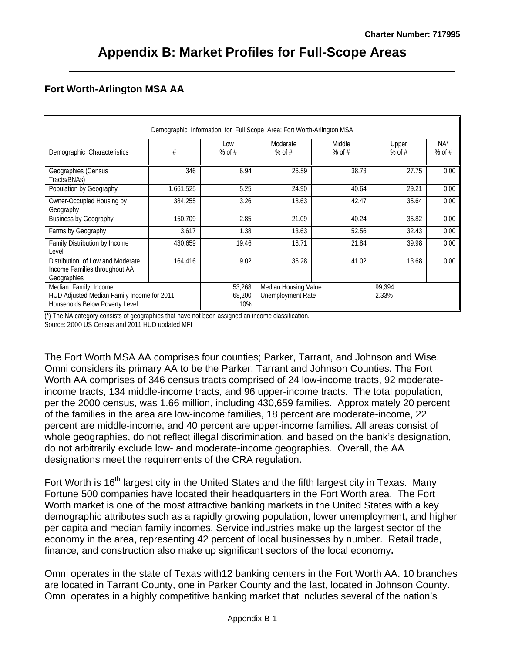#### **Fort Worth-Arlington MSA AA**

|                                                                                                      |           |                         | Demographic Information for Full Scope Area: Fort Worth-Arlington MSA |                    |                   |                    |
|------------------------------------------------------------------------------------------------------|-----------|-------------------------|-----------------------------------------------------------------------|--------------------|-------------------|--------------------|
| Demographic Characteristics                                                                          | #         | Low<br>$%$ of #         | Moderate<br>% of $#$                                                  | Middle<br>% of $#$ | Upper<br>$%$ of # | $NA^*$<br>$%$ of # |
| Geographies (Census<br>Tracts/BNAs)                                                                  | 346       | 6.94                    | 26.59                                                                 | 38.73              | 27.75             | 0.00               |
| Population by Geography                                                                              | 1,661,525 | 5.25                    | 24.90                                                                 | 40.64              | 29.21             | 0.00               |
| Owner-Occupied Housing by<br>Geography                                                               | 384,255   | 3.26                    | 18.63                                                                 | 42.47              | 35.64             | 0.00               |
| <b>Business by Geography</b>                                                                         | 150,709   | 2.85                    | 21.09                                                                 | 40.24              | 35.82             | 0.00               |
| Farms by Geography                                                                                   | 3,617     | 1.38                    | 13.63                                                                 | 52.56              | 32.43             | 0.00               |
| Family Distribution by Income<br>Level                                                               | 430,659   | 19.46                   | 18.71                                                                 | 21.84              | 39.98             | 0.00               |
| Distribution of Low and Moderate<br>Income Families throughout AA<br>Geographies                     | 164,416   | 9.02                    | 36.28                                                                 | 41.02              | 13.68             | 0.00               |
| Median Family Income<br>HUD Adjusted Median Family Income for 2011<br>Households Below Poverty Level |           | 53,268<br>68,200<br>10% | Median Housing Value<br><b>Unemployment Rate</b>                      |                    | 99.394<br>2.33%   |                    |

(\*) The NA category consists of geographies that have not been assigned an income classification.

Source: 2000 US Census and 2011 HUD updated MFI

The Fort Worth MSA AA comprises four counties; Parker, Tarrant, and Johnson and Wise. Omni considers its primary AA to be the Parker, Tarrant and Johnson Counties. The Fort Worth AA comprises of 346 census tracts comprised of 24 low-income tracts, 92 moderateincome tracts, 134 middle-income tracts, and 96 upper-income tracts. The total population, per the 2000 census, was 1.66 million, including 430,659 families. Approximately 20 percent of the families in the area are low-income families, 18 percent are moderate-income, 22 percent are middle-income, and 40 percent are upper-income families. All areas consist of whole geographies, do not reflect illegal discrimination, and based on the bank's designation, do not arbitrarily exclude low- and moderate-income geographies. Overall, the AA designations meet the requirements of the CRA regulation.

Fort Worth is 16<sup>th</sup> largest city in the United States and the fifth largest city in Texas. Many Fortune 500 companies have located their headquarters in the Fort Worth area. The Fort Worth market is one of the most attractive banking markets in the United States with a key demographic attributes such as a rapidly growing population, lower unemployment, and higher per capita and median family incomes. Service industries make up the largest sector of the economy in the area, representing 42 percent of local businesses by number. Retail trade, finance, and construction also make up significant sectors of the local economy**.** 

Omni operates in the state of Texas with12 banking centers in the Fort Worth AA. 10 branches are located in Tarrant County, one in Parker County and the last, located in Johnson County. Omni operates in a highly competitive banking market that includes several of the nation's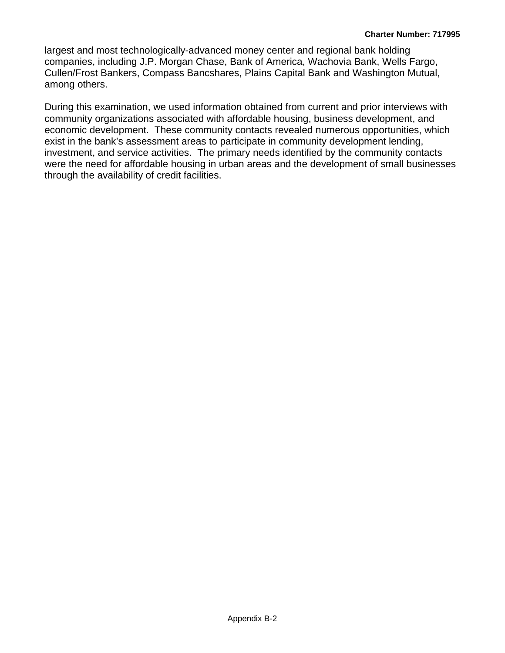largest and most technologically-advanced money center and regional bank holding companies, including J.P. Morgan Chase, Bank of America, Wachovia Bank, Wells Fargo, Cullen/Frost Bankers, Compass Bancshares, Plains Capital Bank and Washington Mutual, among others.

During this examination, we used information obtained from current and prior interviews with community organizations associated with affordable housing, business development, and economic development. These community contacts revealed numerous opportunities, which exist in the bank's assessment areas to participate in community development lending, investment, and service activities. The primary needs identified by the community contacts were the need for affordable housing in urban areas and the development of small businesses through the availability of credit facilities.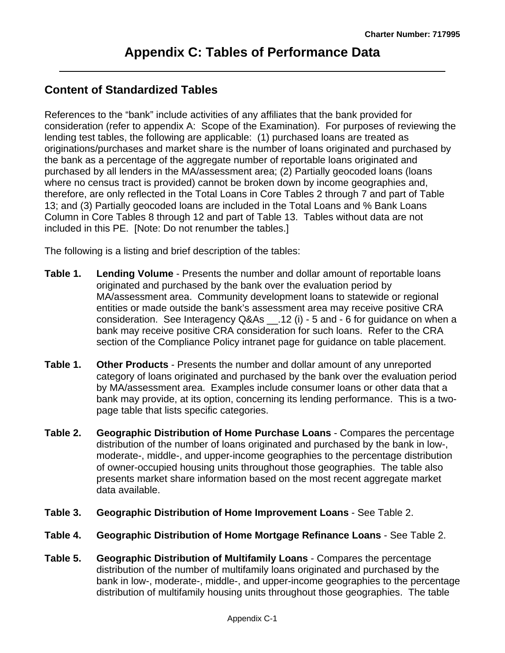### **Content of Standardized Tables**

References to the "bank" include activities of any affiliates that the bank provided for consideration (refer to appendix A: Scope of the Examination). For purposes of reviewing the lending test tables, the following are applicable: (1) purchased loans are treated as originations/purchases and market share is the number of loans originated and purchased by the bank as a percentage of the aggregate number of reportable loans originated and purchased by all lenders in the MA/assessment area; (2) Partially geocoded loans (loans where no census tract is provided) cannot be broken down by income geographies and, therefore, are only reflected in the Total Loans in Core Tables 2 through 7 and part of Table 13; and (3) Partially geocoded loans are included in the Total Loans and % Bank Loans Column in Core Tables 8 through 12 and part of Table 13. Tables without data are not included in this PE. [Note: Do not renumber the tables.]

The following is a listing and brief description of the tables:

- **Table 1. Lending Volume** Presents the number and dollar amount of reportable loans originated and purchased by the bank over the evaluation period by MA/assessment area. Community development loans to statewide or regional entities or made outside the bank's assessment area may receive positive CRA consideration. See Interagency Q&As \_\_.12 (i) - 5 and - 6 for guidance on when a bank may receive positive CRA consideration for such loans. Refer to the CRA section of the Compliance Policy intranet page for guidance on table placement.
- **Table 1. Other Products**  Presents the number and dollar amount of any unreported category of loans originated and purchased by the bank over the evaluation period by MA/assessment area. Examples include consumer loans or other data that a bank may provide, at its option, concerning its lending performance. This is a twopage table that lists specific categories.
- **Table 2. Geographic Distribution of Home Purchase Loans** Compares the percentage distribution of the number of loans originated and purchased by the bank in low-, moderate-, middle-, and upper-income geographies to the percentage distribution of owner-occupied housing units throughout those geographies. The table also presents market share information based on the most recent aggregate market data available.
- **Table 3. Geographic Distribution of Home Improvement Loans** See Table 2.
- **Table 4. Geographic Distribution of Home Mortgage Refinance Loans** See Table 2.
- **Table 5. Geographic Distribution of Multifamily Loans** Compares the percentage distribution of the number of multifamily loans originated and purchased by the bank in low-, moderate-, middle-, and upper-income geographies to the percentage distribution of multifamily housing units throughout those geographies. The table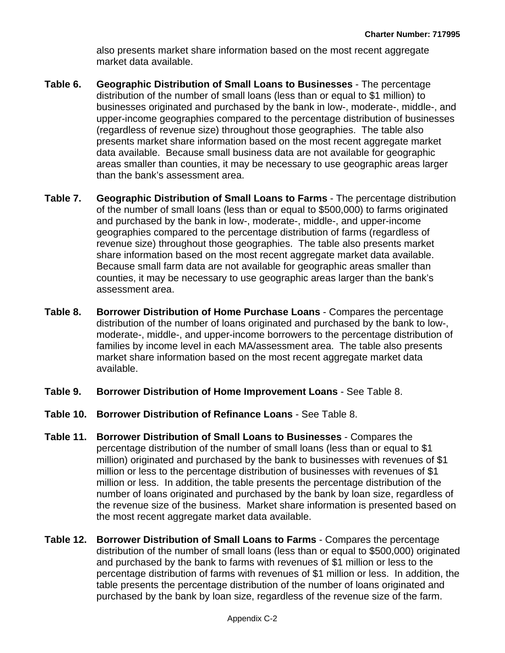also presents market share information based on the most recent aggregate market data available.

- **Table 6. Geographic Distribution of Small Loans to Businesses** The percentage distribution of the number of small loans (less than or equal to \$1 million) to businesses originated and purchased by the bank in low-, moderate-, middle-, and upper-income geographies compared to the percentage distribution of businesses (regardless of revenue size) throughout those geographies. The table also presents market share information based on the most recent aggregate market data available. Because small business data are not available for geographic areas smaller than counties, it may be necessary to use geographic areas larger than the bank's assessment area.
- share information based on the most recent aggregate market data available. **Table 7. Geographic Distribution of Small Loans to Farms** - The percentage distribution of the number of small loans (less than or equal to \$500,000) to farms originated and purchased by the bank in low-, moderate-, middle-, and upper-income geographies compared to the percentage distribution of farms (regardless of revenue size) throughout those geographies. The table also presents market Because small farm data are not available for geographic areas smaller than counties, it may be necessary to use geographic areas larger than the bank's assessment area.
- **Table 8. Borrower Distribution of Home Purchase Loans** Compares the percentage distribution of the number of loans originated and purchased by the bank to low-, moderate-, middle-, and upper-income borrowers to the percentage distribution of families by income level in each MA/assessment area. The table also presents market share information based on the most recent aggregate market data available.
- **Table 9. Borrower Distribution of Home Improvement Loans** See Table 8.
- **Table 10. Borrower Distribution of Refinance Loans** See Table 8.
- **Table 11. Borrower Distribution of Small Loans to Businesses** Compares the percentage distribution of the number of small loans (less than or equal to \$1 million) originated and purchased by the bank to businesses with revenues of \$1 million or less to the percentage distribution of businesses with revenues of \$1 million or less. In addition, the table presents the percentage distribution of the number of loans originated and purchased by the bank by loan size, regardless of the revenue size of the business. Market share information is presented based on the most recent aggregate market data available.
- **Table 12. Borrower Distribution of Small Loans to Farms** Compares the percentage distribution of the number of small loans (less than or equal to \$500,000) originated and purchased by the bank to farms with revenues of \$1 million or less to the percentage distribution of farms with revenues of \$1 million or less. In addition, the table presents the percentage distribution of the number of loans originated and purchased by the bank by loan size, regardless of the revenue size of the farm.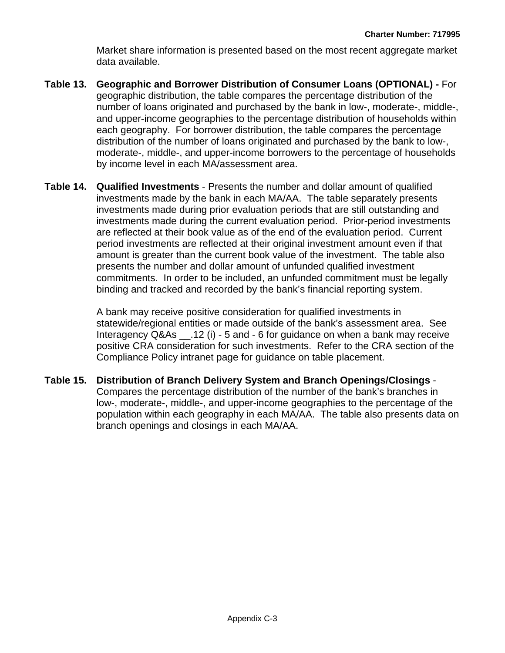Market share information is presented based on the most recent aggregate market data available.

- **Table 13. Geographic and Borrower Distribution of Consumer Loans (OPTIONAL)** For geographic distribution, the table compares the percentage distribution of the number of loans originated and purchased by the bank in low-, moderate-, middle-, and upper-income geographies to the percentage distribution of households within each geography. For borrower distribution, the table compares the percentage distribution of the number of loans originated and purchased by the bank to low-, moderate-, middle-, and upper-income borrowers to the percentage of households by income level in each MA/assessment area.
- **Table 14. Qualified Investments** Presents the number and dollar amount of qualified investments made by the bank in each MA/AA. The table separately presents investments made during prior evaluation periods that are still outstanding and investments made during the current evaluation period. Prior-period investments are reflected at their book value as of the end of the evaluation period. Current period investments are reflected at their original investment amount even if that amount is greater than the current book value of the investment. The table also presents the number and dollar amount of unfunded qualified investment commitments. In order to be included, an unfunded commitment must be legally binding and tracked and recorded by the bank's financial reporting system.

A bank may receive positive consideration for qualified investments in statewide/regional entities or made outside of the bank's assessment area. See Interagency Q&As \_\_.12 (i) - 5 and - 6 for guidance on when a bank may receive positive CRA consideration for such investments. Refer to the CRA section of the Compliance Policy intranet page for guidance on table placement.

**Table 15. Distribution of Branch Delivery System and Branch Openings/Closings** - Compares the percentage distribution of the number of the bank's branches in low-, moderate-, middle-, and upper-income geographies to the percentage of the population within each geography in each MA/AA. The table also presents data on branch openings and closings in each MA/AA.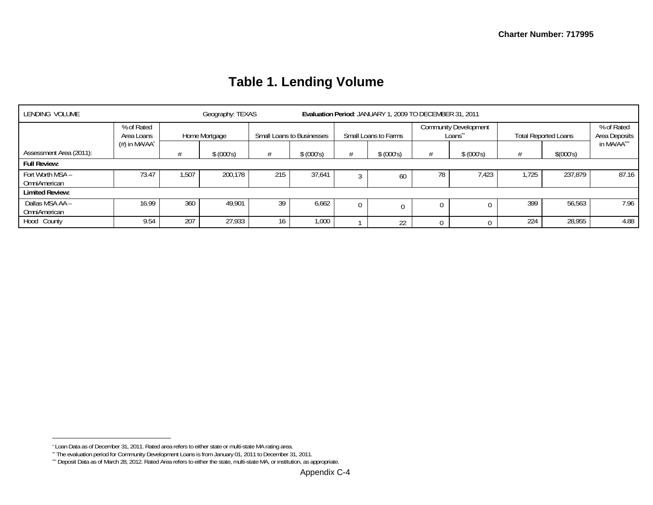| LENDING VOLUME                   |                          |               | Geography: TEXAS |                                  |            | Evaluation Period: JANUARY 1, 2009 TO DECEMBER 31, 2011 |            |                                         |            |       |                             |                             |  |
|----------------------------------|--------------------------|---------------|------------------|----------------------------------|------------|---------------------------------------------------------|------------|-----------------------------------------|------------|-------|-----------------------------|-----------------------------|--|
|                                  | % of Rated<br>Area Loans | Home Mortgage |                  | <b>Small Loans to Businesses</b> |            | Small Loans to Farms                                    |            | <b>Community Development</b><br>Loans** |            |       | <b>Total Reported Loans</b> | % of Rated<br>Area Deposits |  |
| Assessment Area (2011):          | $(\#)$ in MA/AA $^*$     |               | \$ (000's)       |                                  | \$ (000's) |                                                         | \$ (000's) |                                         | \$ (000's) |       | \$(000's)                   | in MA/AA***                 |  |
| <b>Full Review:</b>              |                          |               |                  |                                  |            |                                                         |            |                                         |            |       |                             |                             |  |
| Fort Worth MSA -<br>OmniAmerican | 73.47                    | .507          | 200.178          | 215                              | 37,641     |                                                         | 60         | 78                                      | 1,423      | 1.725 | 237,879                     | 87.16                       |  |
| <b>Limited Review:</b>           |                          |               |                  |                                  |            |                                                         |            |                                         |            |       |                             |                             |  |
| Dallas MSA AA -<br>OmniAmerican  | 16.99                    | 360           | 49.901           | 39                               | 6,662      | $\Omega$                                                |            |                                         | 0          | 399   | 56,563                      | 7.96                        |  |
| Hood County                      | 9.54                     | 207           | 27,933           | 16                               | 1,000      |                                                         | 22         |                                         |            | 224   | 28,955                      | 4.88                        |  |

# **Table 1. Lending Volume**

<sup>\*</sup> Loan Data as of December 31, 2011. Rated area refers to either state or multi-state MA rating area.

<sup>\*\*</sup> The evaluation period for Community Development Loans is from January 01, 2011 to December 31, 2011.

<sup>\*\*\*</sup> Deposit Data as of March 28, 2012. Rated Area refers to either the state, multi-state MA, or institution, as appropriate.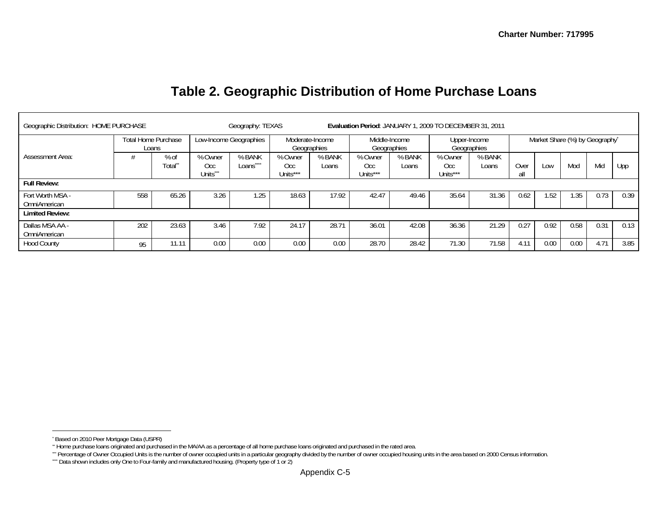| Geographic Distribution: HOME PURCHASE |     | Evaluation Period: JANUARY 1, 2009 TO DECEMBER 31, 2011<br>Geography: TEXAS |                            |                        |                                |                 |                              |                 |                             |                 |             |      |                                |      |      |
|----------------------------------------|-----|-----------------------------------------------------------------------------|----------------------------|------------------------|--------------------------------|-----------------|------------------------------|-----------------|-----------------------------|-----------------|-------------|------|--------------------------------|------|------|
| <b>Total Home Purchase</b><br>Loans    |     |                                                                             |                            | Low-Income Geographies | Moderate-Income<br>Geographies |                 | Middle-Income<br>Geographies |                 | Upper-Income<br>Geographies |                 |             |      | Market Share (%) by Geography* |      |      |
| <b>Assessment Area:</b>                |     | $%$ of<br>Total <sup>*</sup>                                                | % Owner<br>Occ<br>Units*** | % BANK<br>Loans        | % Owner<br>Occ<br>Units***     | % BANK<br>Loans | % Owner<br>Occ.<br>Units***  | % BANK<br>Loans | % Owner<br>Occ<br>Units***  | % BANK<br>Loans | Over<br>all | LOW  | Mod                            | Mid  | Upp  |
| <b>Full Review:</b>                    |     |                                                                             |                            |                        |                                |                 |                              |                 |                             |                 |             |      |                                |      |      |
| Fort Worth MSA -<br>OmniAmerican       | 558 | 65.26                                                                       | 3.26                       | .25                    | 18.63                          | 17.92           | 42.47                        | 49.46           | 35.64                       | 31.36           | 0.62        | 1.52 | 1.35                           | 0.73 | 0.39 |
| <b>Limited Review:</b>                 |     |                                                                             |                            |                        |                                |                 |                              |                 |                             |                 |             |      |                                |      |      |
| Dallas MSA AA -                        | 202 | 23.63                                                                       | 3.46                       | 7.92                   | 24.17                          | 28.71           | 36.01                        | 42.08           | 36.36                       | 21.29           | 0.27        | 0.92 | 0.58                           | 0.31 | 0.13 |

Hood County <sub>95</sub> 11.11 0.00 0.00 0.00 28.70 28.42 71.30 71.58 4.11 0.00 0.00 4.71 3.85

# **Table 2. Geographic Distribution of Home Purchase Loans**

OmniAmerican

<sup>\*</sup> Based on 2010 Peer Mortgage Data (USPR)

<sup>\*\*</sup> Home purchase loans originated and purchased in the MA/AA as a percentage of all home purchase loans originated and purchased in the rated area.

<sup>\*\*\*</sup> Percentage of Owner Occupied Units is the number of owner occupied units in a particular geography divided by the number of owner occupied housing units in the area based on 2000 Census information.

<sup>\*\*\*\*</sup> Data shown includes only One to Four-family and manufactured housing. (Property type of 1 or 2)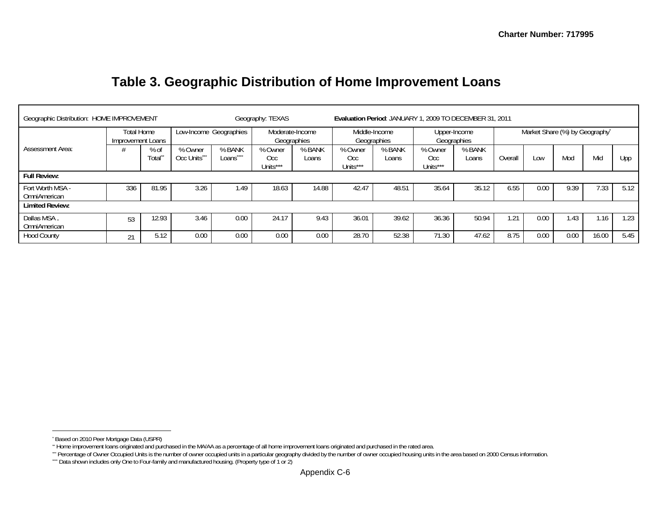| Geographic Distribution: HOME IMPROVEMENT |     |                 |                                                          |                          | Geography: TEXAS            |                              | Evaluation Period: JANUARY 1, 2009 TO DECEMBER 31, 2011 |                             |                             |                 |                                |      |      |       |      |
|-------------------------------------------|-----|-----------------|----------------------------------------------------------|--------------------------|-----------------------------|------------------------------|---------------------------------------------------------|-----------------------------|-----------------------------|-----------------|--------------------------------|------|------|-------|------|
| Total Home<br>Improvement Loans           |     |                 | Low-Income Geographies<br>Moderate-Income<br>Geographies |                          |                             | Middle-Income<br>Geographies |                                                         | Upper-Income<br>Geographies |                             |                 | Market Share (%) by Geography* |      |      |       |      |
| <b>Assessment Area:</b>                   |     | $%$ of<br>Total | % Owner<br>Occ Units***                                  | % BANK<br>****<br>Loans^ | % Owner<br>Occ.<br>Units*** | % BANK<br>Loans              | % Owner<br>Occ.<br>Units***                             | % BANK<br>Loans             | % Owner<br>Occ.<br>Units*** | % BANK<br>Loans | Overall                        | Low  | Mod  | Mid   | Upp  |
| <b>Full Review:</b>                       |     |                 |                                                          |                          |                             |                              |                                                         |                             |                             |                 |                                |      |      |       |      |
| Fort Worth MSA -<br>OmniAmerican          | 336 | 81.95           | 3.26                                                     | 1.49                     | 18.63                       | 14.88                        | 42.47                                                   | 48.51                       | 35.64                       | 35.12           | 6.55                           | 0.00 | 9.39 | 1.33  | 5.12 |
| <b>Limited Review:</b>                    |     |                 |                                                          |                          |                             |                              |                                                         |                             |                             |                 |                                |      |      |       |      |
| Dallas MSA.<br>OmniAmerican               | 53  | 12.93           | 3.46                                                     | 0.00                     | 24.17                       | 9.43                         | 36.01                                                   | 39.62                       | 36.36                       | 50.94           | . 21                           | 0.00 | 1.43 | 1.16  | 1.23 |
| <b>Hood County</b>                        | 21  | 5.12            | 0.00                                                     | 0.00                     | 0.00                        | 0.00                         | 28.70                                                   | 52.38                       | 71.30                       | 47.62           | 8.75                           | 0.00 | 0.00 | 16.00 | 5.45 |

## **Table 3. Geographic Distribution of Home Improvement Loans**

<sup>\*</sup> Based on 2010 Peer Mortgage Data (USPR)

<sup>\*\*</sup> Home improvement loans originated and purchased in the MA/AA as a percentage of all home improvement loans originated and purchased in the rated area.

<sup>\*\*\*</sup> Percentage of Owner Occupied Units is the number of owner occupied units in a particular geography divided by the number of owner occupied housing units in the area based on 2000 Census information.

<sup>\*\*\*\*</sup> Data shown includes only One to Four-family and manufactured housing. (Property type of 1 or 2)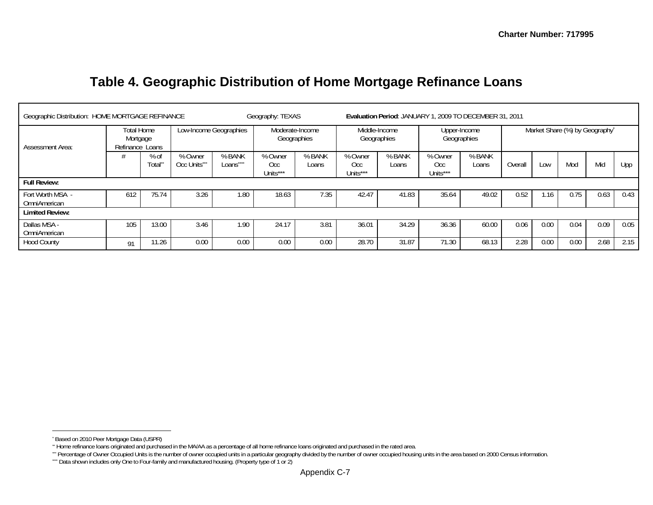## **Table 4. Geographic Distribution of Home Mortgage Refinance Loans**

|                                  | Geographic Distribution: HOME MORTGAGE REFINANCE    |       |                         |                        | Geography: TEXAS            |                                | Evaluation Period: JANUARY 1, 2009 TO DECEMBER 31, 2011 |                              |                             |                 |         |      |                                |      |      |
|----------------------------------|-----------------------------------------------------|-------|-------------------------|------------------------|-----------------------------|--------------------------------|---------------------------------------------------------|------------------------------|-----------------------------|-----------------|---------|------|--------------------------------|------|------|
| Assessment Area:                 | Total Home<br>Mortgage<br>Refinance Loans<br>$%$ of |       |                         | Low-Income Geographies |                             | Moderate-Income<br>Geographies |                                                         | Middle-Income<br>Geographies | Upper-Income<br>Geographies |                 |         |      | Market Share (%) by Geography* |      |      |
|                                  |                                                     | Total | % Owner<br>Occ Units*** | % BANK<br>Loans"       | % Owner<br>Occ.<br>Units*** | % BANK<br>Loans                | % Owner<br>Occ.<br>Units***                             | % BANK<br>Loans              | % Owner<br>Occ.<br>Units*** | % BANK<br>Loans | Overall | Low  | Mod                            | Mid  | Upp  |
| <b>Full Review:</b>              |                                                     |       |                         |                        |                             |                                |                                                         |                              |                             |                 |         |      |                                |      |      |
| Fort Worth MSA -<br>OmniAmerican | 612                                                 | 75.74 | 3.26                    | .80                    | 18.63                       | 7.35                           | 42.47                                                   | 41.83                        | 35.64                       | 49.02           | 0.52    | . 16 | 0.75                           | 0.63 | 0.43 |
| <b>Limited Review:</b>           |                                                     |       |                         |                        |                             |                                |                                                         |                              |                             |                 |         |      |                                |      |      |
| Dallas MSA -<br>OmniAmerican     | 105                                                 | 13.00 | 3.46                    | 1.90                   | 24.17                       | 3.81                           | 36.01                                                   | 34.29                        | 36.36                       | 60.00           | 0.06    | 0.00 | 0.04                           | 0.09 | 0.05 |
| <b>Hood County</b>               | 91                                                  | 11.26 | 0.00                    | 0.00                   | 0.00                        | 0.00                           | 28.70                                                   | 31.87                        | 71.30                       | 68.13           | 2.28    | 0.00 | 0.00                           | 2.68 | 2.15 |

<sup>\*</sup> Based on 2010 Peer Mortgage Data (USPR)

<sup>\*\*</sup> Home refinance loans originated and purchased in the MA/AA as a percentage of all home refinance loans originated and purchased in the rated area.

<sup>\*\*\*</sup> Percentage of Owner Occupied Units is the number of owner occupied units in a particular geography divided by the number of owner occupied housing units in the area based on 2000 Census information.

<sup>\*\*\*\*</sup> Data shown includes only One to Four-family and manufactured housing. (Property type of 1 or 2)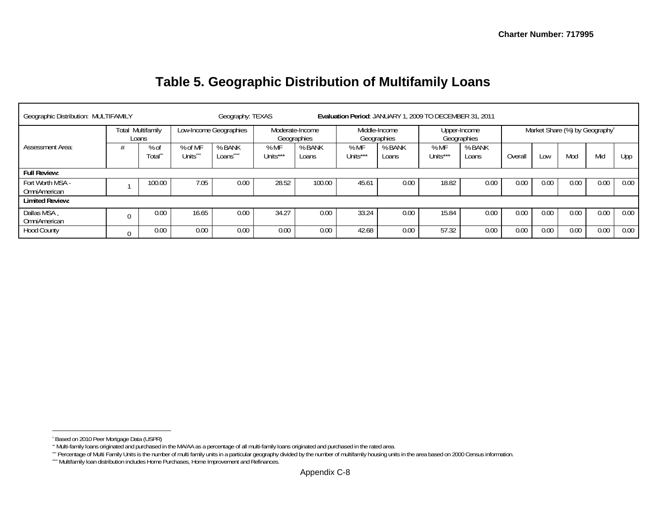## **Table 5. Geographic Distribution of Multifamily Loans**

| Geographic Distribution: MULTIFAMILY |                                   | Geography: TEXAS |                               |                              | Evaluation Period: JANUARY 1, 2009 TO DECEMBER 31, 2011 |                 |                              |                 |                  |                             |         |      |      |                                |      |
|--------------------------------------|-----------------------------------|------------------|-------------------------------|------------------------------|---------------------------------------------------------|-----------------|------------------------------|-----------------|------------------|-----------------------------|---------|------|------|--------------------------------|------|
|                                      | <b>Total Multifamily</b><br>Loans |                  | Low-Income Geographies        |                              | Moderate-Income<br>Geographies                          |                 | Middle-Income<br>Geographies |                 |                  | Upper-Income<br>Geographies |         |      |      | Market Share (%) by Geography* |      |
| Assessment Area:                     |                                   | % of<br>Totalʻ   | % of MF<br>Units <sup>*</sup> | % BANK<br>Loans <sup>®</sup> | %MF<br>Units***                                         | % BANK<br>Loans | % MF<br>Units***             | % BANK<br>Loans | % MF<br>Units*** | % BANK<br>Loans             | Overall | Low  | Mod  | Mid                            | Upp  |
| <b>Full Review:</b>                  |                                   |                  |                               |                              |                                                         |                 |                              |                 |                  |                             |         |      |      |                                |      |
| Fort Worth MSA -<br>OmniAmerican     |                                   | 100.00           | 7.05                          | 0.00                         | 28.52                                                   | 100.00          | 45.61                        | 0.00            | 18.82            | 0.00                        | 0.00    | 0.00 | 0.00 | 0.00                           | 0.00 |
| <b>Limited Review:</b>               |                                   |                  |                               |                              |                                                         |                 |                              |                 |                  |                             |         |      |      |                                |      |
| Dallas MSA.<br>OmniAmerican          |                                   | 0.00             | 16.65                         | 0.00                         | 34.27                                                   | 0.00            | 33.24                        | 0.00            | 15.84            | 0.00                        | 0.00    | 0.00 | 0.00 | 0.00                           | 0.00 |
| <b>Hood County</b>                   | $\Omega$                          | 0.00             | 0.00                          | 0.00                         | 0.00                                                    | 0.00            | 42.68                        | 0.00            | 57.32            | 0.00                        | 0.00    | 0.00 | 0.00 | 0.00                           | 0.00 |

<sup>\*</sup> Based on 2010 Peer Mortgage Data (USPR)

<sup>\*\*</sup> Multi-family loans originated and purchased in the MA/AA as a percentage of all multi-family loans originated and purchased in the rated area.

<sup>\*\*\*</sup> Percentage of Multi Family Units is the number of multi family units in a particular geography divided by the number of multifamily housing units in the area based on 2000 Census information.

<sup>\*\*\*\*</sup> Multifamily loan distribution includes Home Purchases, Home Improvement and Refinances.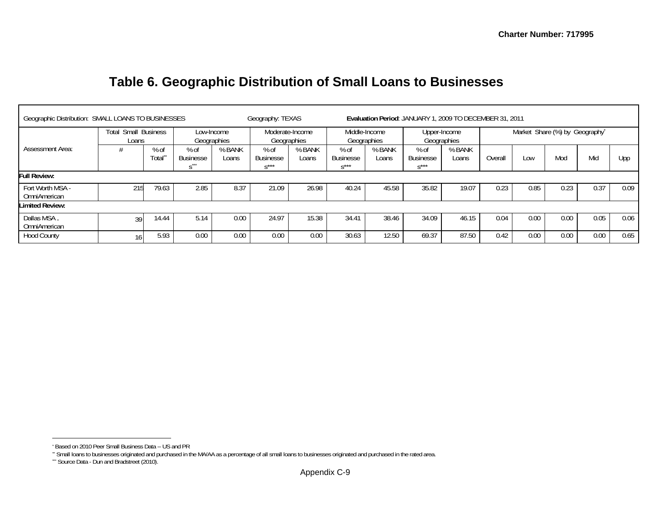| Table 6. Geographic Distribution of Small Loans to Businesses |  |
|---------------------------------------------------------------|--|
|---------------------------------------------------------------|--|

| Geographic Distribution: SMALL LOANS TO BUSINESSES                   |     |                              |                          |                                | Geography: TEXAS                    |                              | Evaluation Period: JANUARY 1, 2009 TO DECEMBER 31, 2011 |                             |                                     |                 |         |                                |      |      |      |  |
|----------------------------------------------------------------------|-----|------------------------------|--------------------------|--------------------------------|-------------------------------------|------------------------------|---------------------------------------------------------|-----------------------------|-------------------------------------|-----------------|---------|--------------------------------|------|------|------|--|
| <b>Small Business</b><br>Total<br>Low-Income<br>Geographies<br>Loans |     |                              |                          | Moderate-Income<br>Geographies |                                     | Middle-Income<br>Geographies |                                                         | Upper-Income<br>Geographies |                                     |                 |         | Market Share (%) by Geography* |      |      |      |  |
| <b>Assessment Area:</b>                                              |     | $%$ of<br>Total <sup>*</sup> | % of<br><b>Businesse</b> | % BANK<br>Loans                | $%$ of<br><b>Businesse</b><br>$x**$ | % BANK<br>Loans              | $%$ of<br><b>Businesse</b><br>$\mathbf{a}$ ***          | % BANK<br>Loans             | $%$ of<br><b>Businesse</b><br>$x**$ | % BANK<br>Loans | Overall | Low                            | Mod  | Mid  | Upp  |  |
| <b>Full Review:</b>                                                  |     |                              |                          |                                |                                     |                              |                                                         |                             |                                     |                 |         |                                |      |      |      |  |
| Fort Worth MSA -<br>OmniAmerican                                     | 215 | 79.63                        | 2.85                     | 8.37                           | 21.09                               | 26.98                        | 40.24                                                   | 45.58                       | 35.82                               | 19.07           | 0.23    | 0.85                           | 0.23 | 0.37 | 0.09 |  |
| <b>Limited Review:</b>                                               |     |                              |                          |                                |                                     |                              |                                                         |                             |                                     |                 |         |                                |      |      |      |  |
| Dallas MSA.<br>OmniAmerican                                          | 39  | 14.44                        | 5.14                     | 0.00                           | 24.97                               | 15.38                        | 34.41                                                   | 38.46                       | 34.09                               | 46.15           | 0.04    | 0.00                           | 0.00 | 0.05 | 0.06 |  |
| <b>Hood County</b>                                                   | 16  | 5.93                         | 0.00                     | 0.00                           | 0.00                                | 0.00                         | 30.63                                                   | 12.50                       | 69.37                               | 87.50           | 0.42    | 0.00                           | 0.00 | 0.00 | 0.65 |  |

<sup>\*</sup> Based on 2010 Peer Small Business Data -- US and PR

<sup>\*\*</sup> Small loans to businesses originated and purchased in the MA/AA as a percentage of all small loans to businesses originated and purchased in the rated area.

<sup>\*\*\*</sup> Source Data - Dun and Bradstreet (2010).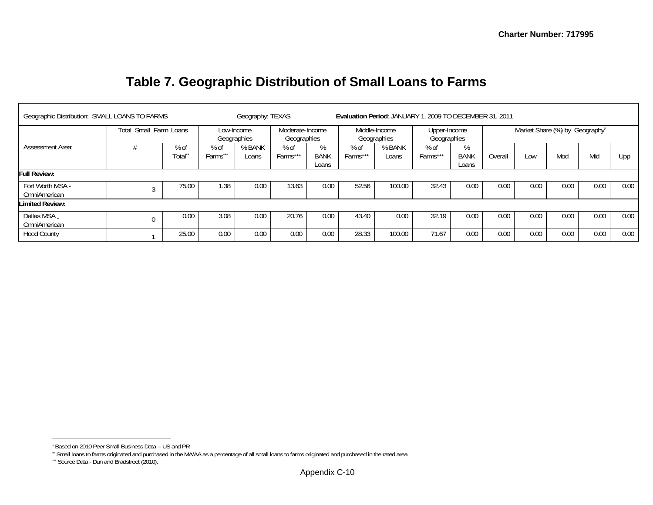| Geographic Distribution: SMALL LOANS TO FARMS |             |                 |                           | Geography: TEXAS |                                |                           | Evaluation Period: JANUARY 1, 2009 TO DECEMBER 31, 2011 |                 |                             |                           |         |                                |      |      |      |
|-----------------------------------------------|-------------|-----------------|---------------------------|------------------|--------------------------------|---------------------------|---------------------------------------------------------|-----------------|-----------------------------|---------------------------|---------|--------------------------------|------|------|------|
| Small Farm Loans<br>Total                     |             |                 | Low-Income<br>Geographies |                  | Moderate-Income<br>Geographies |                           | Middle-Income<br>Geographies                            |                 | Upper-Income<br>Geographies |                           |         | Market Share (%) by Geography* |      |      |      |
| <b>Assessment Area:</b>                       |             | $%$ of<br>Total | $%$ of<br>Farms^          | % BANK<br>Loans  | $%$ of<br>Farms***             | %<br><b>BANK</b><br>Loans | $%$ of<br>Farms***                                      | % BANK<br>Loans | $%$ of<br>Farms***          | %<br><b>BANK</b><br>Loans | Overall | Low                            | Mod  | Mid  | Upp  |
| Full Review:                                  |             |                 |                           |                  |                                |                           |                                                         |                 |                             |                           |         |                                |      |      |      |
| Fort Worth MSA -<br>OmniAmerican              |             | 75.00           | 1.38                      | 0.00             | 13.63                          | 0.00                      | 52.56                                                   | 100.00          | 32.43                       | 0.00                      | 0.00    | 0.00                           | 0.00 | 0.00 | 0.00 |
| <b>Limited Review:</b>                        |             |                 |                           |                  |                                |                           |                                                         |                 |                             |                           |         |                                |      |      |      |
| Dallas MSA.<br>OmniAmerican                   | $\mathbf 0$ | 0.00            | 3.08                      | 0.00             | 20.76                          | 0.00                      | 43.40                                                   | 0.00            | 32.19                       | 0.00                      | 0.00    | 0.00                           | 0.00 | 0.00 | 0.00 |
| <b>Hood County</b>                            |             | 25.00           | 0.00                      | 0.00             | 0.00                           | 0.00                      | 28.33                                                   | 100.00          | 71.67                       | 0.00                      | 0.00    | 0.00                           | 0.00 | 0.00 | 0.00 |

# **Table 7. Geographic Distribution of Small Loans to Farms**

<sup>\*</sup> Based on 2010 Peer Small Business Data -- US and PR

<sup>\*\*</sup> Small loans to farms originated and purchased in the MA/AA as a percentage of all small loans to farms originated and purchased in the rated area.

<sup>\*\*\*</sup> Source Data - Dun and Bradstreet (2010).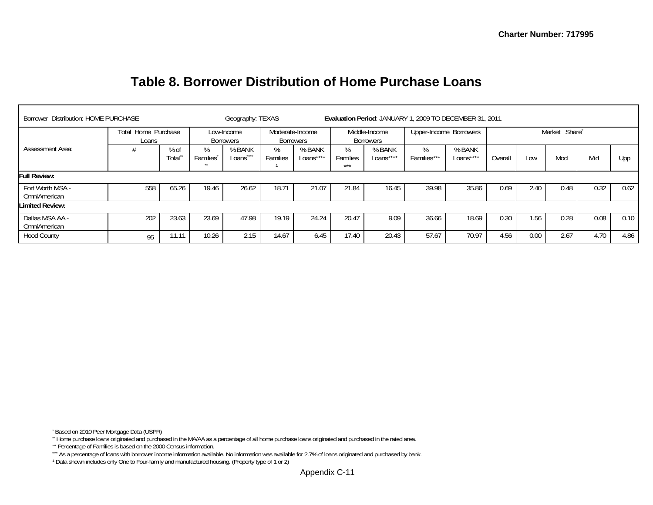| Borrower Distribution: HOME PURCHASE |                              | Geography: TEXAS |                                  |                              | Evaluation Period: JANUARY 1, 2009 TO DECEMBER 31, 2011 |                     |                                   |                     |                        |                     |         |      |               |      |      |
|--------------------------------------|------------------------------|------------------|----------------------------------|------------------------------|---------------------------------------------------------|---------------------|-----------------------------------|---------------------|------------------------|---------------------|---------|------|---------------|------|------|
|                                      | Total Home Purchase<br>Loans |                  | Low-Income<br><b>Borrowers</b>   |                              | Moderate-Income<br><b>Borrowers</b>                     |                     | Middle-Income<br><b>Borrowers</b> |                     | Upper-Income Borrowers |                     |         |      | Market Share* |      |      |
| Assessment Area:                     |                              | % of<br>Total    | ℅<br>Families <sup>®</sup><br>** | % BANK<br>Loans <sup>-</sup> | ℅<br>Families                                           | % BANK<br>Loans**** | %<br>Families<br>***              | % BANK<br>Loans**** | %<br>Families***       | % BANK<br>Loans**** | Overall | LOW  | Mod           | Mid  | Upp  |
| Full Review:                         |                              |                  |                                  |                              |                                                         |                     |                                   |                     |                        |                     |         |      |               |      |      |
| Fort Worth MSA -<br>OmniAmerican     | 558                          | 65.26            | 19.46                            | 26.62                        | 18.71                                                   | 21.07               | 21.84                             | 16.45               | 39.98                  | 35.86               | 0.69    | 2.40 | 0.48          | 0.32 | 0.62 |
| <b>Limited Review:</b>               |                              |                  |                                  |                              |                                                         |                     |                                   |                     |                        |                     |         |      |               |      |      |
| Dallas MSA AA -<br>OmniAmerican      | 202                          | 23.63            | 23.69                            | 47.98                        | 19.19                                                   | 24.24               | 20.47                             | 9.09                | 36.66                  | 18.69               | 0.30    | 1.56 | 0.28          | 0.08 | 0.10 |
| <b>Hood County</b>                   | 95                           | 11.11            | 10.26                            | 2.15                         | 14.67                                                   | 6.45                | 17.40                             | 20.43               | 57.67                  | 70.97               | 4.56    | 0.00 | 2.67          | 4.70 | 4.86 |

## **Table 8. Borrower Distribution of Home Purchase Loans**

<sup>\*</sup> Based on 2010 Peer Mortgage Data (USPR)

<sup>\*\*</sup> Home purchase loans originated and purchased in the MA/AA as a percentage of all home purchase loans originated and purchased in the rated area.

<sup>\*\*\*</sup> Percentage of Families is based on the 2000 Census information.

<sup>\*\*\*</sup> As a percentage of loans with borrower income information available. No information was available for 2.7% of loans originated and purchased by bank.

<sup>1</sup> Data shown includes only One to Four-family and manufactured housing. (Property type of 1 or 2)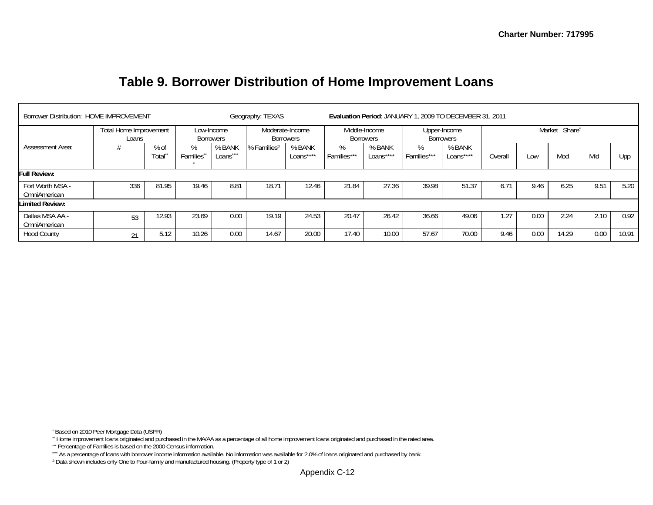| Borrower Distribution: HOME IMPROVEMENT |                                 |                  |                                |                              | Geography: TEXAS                    |                     | Evaluation Period: JANUARY 1, 2009 TO DECEMBER 31, 2011 |                            |                  |                                  |               |      |               |      |       |  |
|-----------------------------------------|---------------------------------|------------------|--------------------------------|------------------------------|-------------------------------------|---------------------|---------------------------------------------------------|----------------------------|------------------|----------------------------------|---------------|------|---------------|------|-------|--|
|                                         | Total Home Improvement<br>Loans |                  | Low-Income<br><b>Borrowers</b> |                              | Moderate-Income<br><b>Borrowers</b> |                     |                                                         | Middle-Income<br>Borrowers |                  | Upper-Income<br><b>Borrowers</b> |               |      | Market Share* |      |       |  |
| <b>Assessment Area:</b>                 |                                 | $%$ of<br>Total" | %<br>Families <sup>®</sup>     | % BANK<br>Loans <sup>-</sup> | % Families <sup>2</sup>             | % BANK<br>Loans**** | %<br>Families***                                        | % BANK<br>Loans****        | %<br>Families*** | % BANK<br>Loans****              | Overall       | Low  | Mod           | Mid  | Upp   |  |
| <b>Full Review:</b>                     |                                 |                  |                                |                              |                                     |                     |                                                         |                            |                  |                                  |               |      |               |      |       |  |
| Fort Worth MSA -<br>OmniAmerican        | 336                             | 81.95            | 19.46                          | 8.81                         | 18.71                               | 12.46               | 21.84                                                   | 27.36                      | 39.98            | 51.37                            | $6.7^{\circ}$ | 9.46 | 6.25          | 9.51 | 5.20  |  |
| <b>Limited Review:</b>                  |                                 |                  |                                |                              |                                     |                     |                                                         |                            |                  |                                  |               |      |               |      |       |  |
| Dallas MSA AA -<br>OmniAmerican         | 53                              | 12.93            | 23.69                          | 0.00                         | 19.19                               | 24.53               | 20.47                                                   | 26.42                      | 36.66            | 49.06                            | .27           | 0.00 | 2.24          | 2.10 | 0.92  |  |
| <b>Hood County</b>                      | 21                              | 5.12             | 10.26                          | 0.00                         | 14.67                               | 20.00               | 17.40                                                   | 10.00                      | 57.67            | 70.00                            | 9.46          | 0.00 | 14.29         | 0.00 | 10.91 |  |

## **Table 9. Borrower Distribution of Home Improvement Loans**

<sup>\*</sup> Based on 2010 Peer Mortgage Data (USPR)

<sup>\*\*</sup> Home improvement loans originated and purchased in the MA/AA as a percentage of all home improvement loans originated and purchased in the rated area.

<sup>\*\*\*</sup> Percentage of Families is based on the 2000 Census information.

<sup>\*\*\*</sup> As a percentage of loans with borrower income information available. No information was available for 2.0% of loans originated and purchased by bank.

<sup>2</sup> Data shown includes only One to Four-family and manufactured housing. (Property type of 1 or 2)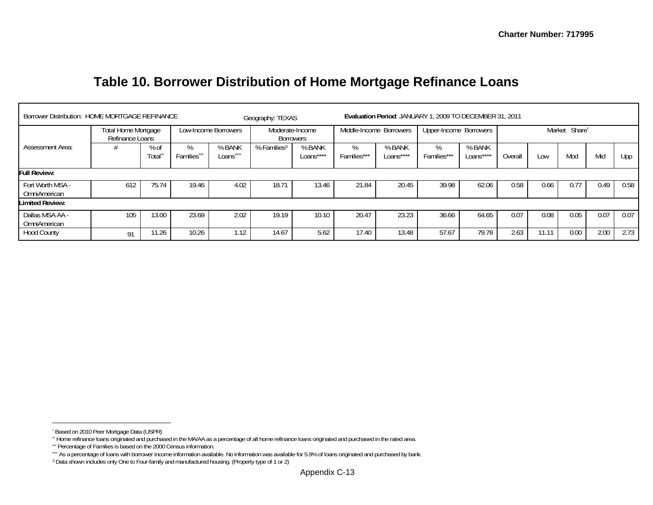## **Table 10. Borrower Distribution of Home Mortgage Refinance Loans**

| Borrower Distribution: HOME MORTGAGE REFINANCE |                                        |                              |                         | Evaluation Period: JANUARY 1, 2009 TO DECEMBER 31, 2011<br>Geography: TEXAS |                              |                     |                     |                         |                        |                     |         |       |               |      |      |
|------------------------------------------------|----------------------------------------|------------------------------|-------------------------|-----------------------------------------------------------------------------|------------------------------|---------------------|---------------------|-------------------------|------------------------|---------------------|---------|-------|---------------|------|------|
|                                                | Total Home Mortgage<br>Refinance Loans |                              | Low-Income Borrowers    |                                                                             | Moderate-Income<br>Borrowers |                     |                     | Middle-Income Borrowers | Upper-Income Borrowers |                     |         |       | Market Share* |      |      |
| <b>Assessment Area:</b>                        |                                        | $%$ of<br>Total <sup>*</sup> | $\%$<br><b>Families</b> | % BANK<br>Loans                                                             | % Families <sup>3</sup>      | % BANK<br>Loans**** | $\%$<br>Families*** | % BANK<br>Loans****     | %<br>Families***       | % BANK<br>Loans**** | Overall | Low   | Mod           | Mid  | Upp  |
| <b>Full Review:</b>                            |                                        |                              |                         |                                                                             |                              |                     |                     |                         |                        |                     |         |       |               |      |      |
| Fort Worth MSA -<br>OmniAmerican               | 612                                    | 75.74                        | 19.46                   | 4.02                                                                        | 18.71                        | 13.46               | 21.84               | 20.45                   | 39.98                  | 62.06               | 0.58    | 0.66  | 0.77          | 0.49 | 0.58 |
| <b>Limited Review:</b>                         |                                        |                              |                         |                                                                             |                              |                     |                     |                         |                        |                     |         |       |               |      |      |
| Dallas MSA AA -<br>OmniAmerican                | 105                                    | 13.00                        | 23.69                   | 2.02                                                                        | 19.19                        | 10.10               | 20.47               | 23.23                   | 36.66                  | 64.65               | 0.07    | 0.08  | 0.05          | 0.07 | 0.07 |
| <b>Hood County</b>                             | 01                                     | 11.26                        | 10.26                   | 1.12                                                                        | 14.67                        | 5.62                | 17.40               | 13.48                   | 57.67                  | 79.78               | 2.63    | 11.11 | 0.00          | 2.00 | 2.73 |

<sup>\*</sup> Based on 2010 Peer Mortgage Data (USPR)

<sup>\*\*</sup> Home refinance loans originated and purchased in the MA/AA as a percentage of all home refinance loans originated and purchased in the rated area.

<sup>\*\*\*</sup> Percentage of Families is based on the 2000 Census information.

<sup>\*\*\*</sup> As a percentage of loans with borrower income information available. No information was available for 5.9% of loans originated and purchased by bank.

<sup>3</sup> Data shown includes only One to Four-family and manufactured housing. (Property type of 1 or 2)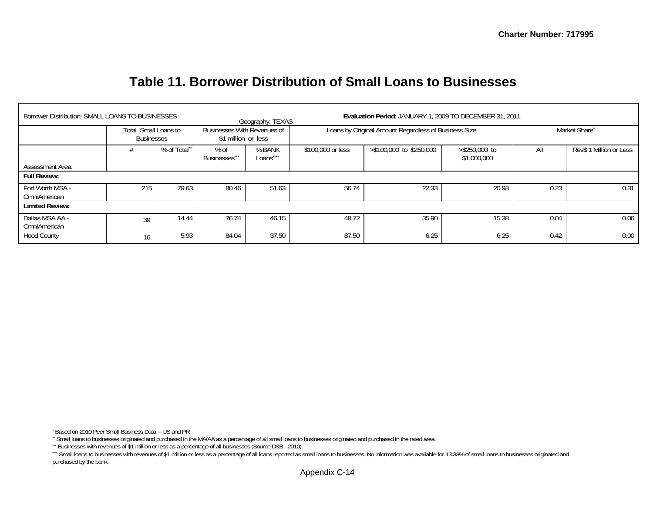## **Table 11. Borrower Distribution of Small Loans to Businesses**

| Borrower Distribution: SMALL LOANS TO BUSINESSES |                                    |             | Evaluation Period: JANUARY 1, 2009 TO DECEMBER 31, 2011<br>Geography: TEXAS |                   |                   |                                                      |                                 |               |                         |  |  |  |  |
|--------------------------------------------------|------------------------------------|-------------|-----------------------------------------------------------------------------|-------------------|-------------------|------------------------------------------------------|---------------------------------|---------------|-------------------------|--|--|--|--|
|                                                  | Total Small Loans to<br>Businesses |             | Businesses With Revenues of<br>\$1 million or less                          |                   |                   | Loans by Original Amount Regardless of Business Size |                                 | Market Share* |                         |  |  |  |  |
|                                                  |                                    | % of Total" |                                                                             | % BANK<br>Loans^^ | \$100,000 or less | >\$100,000 to \$250,000                              | $>$ \$250,000 to<br>\$1,000,000 | All           | Rev\$ 1 Million or Less |  |  |  |  |
| <b>Assessment Area:</b>                          |                                    |             |                                                                             |                   |                   |                                                      |                                 |               |                         |  |  |  |  |
| <b>Full Review:</b>                              |                                    |             |                                                                             |                   |                   |                                                      |                                 |               |                         |  |  |  |  |
| Fort Worth MSA -<br>OmniAmerican                 | 215                                | 79.63       | 80.46                                                                       | 51.63             | 56.74             | 22.33                                                | 20.93                           | 0.23          | 0.31                    |  |  |  |  |
| <b>Limited Review:</b>                           |                                    |             |                                                                             |                   |                   |                                                      |                                 |               |                         |  |  |  |  |
| Dallas MSA AA -<br>OmniAmerican                  | 39                                 | 14.44       | 76.74                                                                       | 46.15             | 48.72             | 35.90                                                | 15.38                           | 0.04          | 0.06                    |  |  |  |  |
| <b>Hood County</b>                               | 16                                 | 5.93        | 84.04                                                                       | 37.50             | 87.50             | 6.25                                                 | 6.25                            | 0.42          | 0.00                    |  |  |  |  |

<sup>\*</sup> Based on 2010 Peer Small Business Data -- US and PR

<sup>\*\*</sup> Small loans to businesses originated and purchased in the MA/AA as a percentage of all small loans to businesses originated and purchased in the rated area.

<sup>\*\*\*</sup> Businesses with revenues of \$1 million or less as a percentage of all businesses (Source D&B - 2010).

<sup>\*\*\*\*</sup> Small loans to businesses with revenues of \$1 million or less as a percentage of all loans reported as small loans to businesses. No information was available for 13.33% of small loans to businesses originated and purchased by the bank.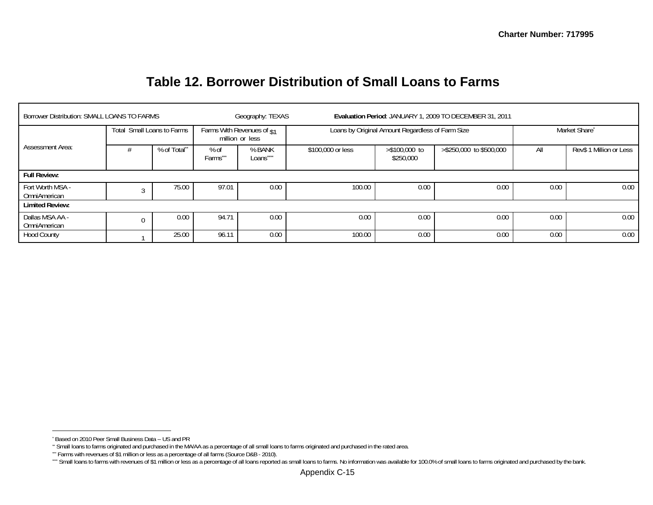## **Table 12. Borrower Distribution of Small Loans to Farms**

| Borrower Distribution: SMALL LOANS TO FARMS |       |                      |                                                  | Geography: TEXAS                              |                   | Evaluation Period: JANUARY 1, 2009 TO DECEMBER 31, 2011 |                         |               |                         |  |  |
|---------------------------------------------|-------|----------------------|--------------------------------------------------|-----------------------------------------------|-------------------|---------------------------------------------------------|-------------------------|---------------|-------------------------|--|--|
|                                             | Total | Small Loans to Farms |                                                  | Farms With Revenues of \$1<br>million or less |                   | Loans by Original Amount Regardless of Farm Size        |                         | Market Share* |                         |  |  |
| <b>Assessment Area:</b>                     |       | % of Total**         | $%$ of<br>% BANK<br>Farms^<br>Loans <sup>-</sup> |                                               | \$100,000 or less | $> $100,000$ to<br>\$250,000                            | >\$250,000 to \$500,000 | All           | Rev\$ 1 Million or Less |  |  |
| <b>Full Review:</b>                         |       |                      |                                                  |                                               |                   |                                                         |                         |               |                         |  |  |
| Fort Worth MSA -<br>OmniAmerican            |       | 75.00                | 97.01                                            | 0.00                                          | 100.00            | 0.00                                                    | 0.00                    | 0.00          | 0.00                    |  |  |
| <b>Limited Review:</b>                      |       |                      |                                                  |                                               |                   |                                                         |                         |               |                         |  |  |
| Dallas MSA AA -<br>OmniAmerican             | 0.00  |                      | 94.71                                            | 0.00                                          | 0.00              | 0.00                                                    | 0.00                    | 0.00          | 0.00                    |  |  |
| <b>Hood County</b>                          | 25.00 |                      |                                                  | 0.00                                          | 100.00            | 0.00                                                    | 0.00                    | 0.00          | 0.00                    |  |  |

<sup>\*</sup> Based on 2010 Peer Small Business Data -- US and PR

<sup>\*\*</sup> Small loans to farms originated and purchased in the MA/AA as a percentage of all small loans to farms originated and purchased in the rated area.

<sup>\*\*\*</sup> Farms with revenues of \$1 million or less as a percentage of all farms (Source D&B - 2010).

<sup>&</sup>quot;" Small loans to farms with revenues of \$1 million or less as a percentage of all loans reported as small loans to farms. No information was available for 100.0% of small loans to farms originated and purchased by the ban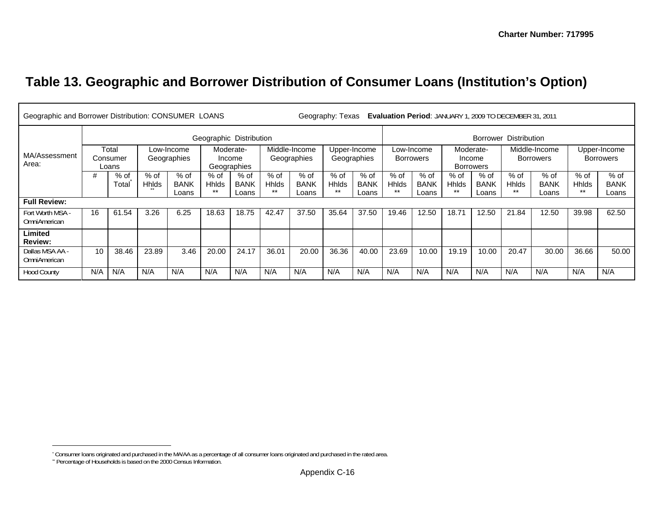# **Table 13. Geographic and Borrower Distribution of Consumer Loans (Institution's Option)**

|                                 | Geographic and Borrower Distribution: CONSUMER LOANS<br><b>Evaluation Period: JANUARY 1, 2009 TO DECEMBER 31, 2011</b><br>Geography: Texas |       |              |             |                       |             |               |             |                  |              |              |                       |                  |                  |                  |               |              |              |  |  |
|---------------------------------|--------------------------------------------------------------------------------------------------------------------------------------------|-------|--------------|-------------|-----------------------|-------------|---------------|-------------|------------------|--------------|--------------|-----------------------|------------------|------------------|------------------|---------------|--------------|--------------|--|--|
|                                 | Geographic Distribution                                                                                                                    |       |              |             |                       |             |               |             |                  |              |              | Borrower Distribution |                  |                  |                  |               |              |              |  |  |
|                                 |                                                                                                                                            | Total |              | Low-Income  | Moderate-             |             | Middle-Income |             |                  | Upper-Income |              | Low-Income            |                  | Moderate-        |                  | Middle-Income |              | Upper-Income |  |  |
| MA/Assessment                   | Consumer<br>Geographies                                                                                                                    |       |              |             | Geographies<br>Income |             | Geographies   |             | <b>Borrowers</b> |              | Income       |                       |                  | <b>Borrowers</b> | <b>Borrowers</b> |               |              |              |  |  |
| Area:                           | Loans                                                                                                                                      |       |              |             |                       | Geographies |               |             |                  |              |              |                       | <b>Borrowers</b> |                  |                  |               |              |              |  |  |
|                                 | #                                                                                                                                          | % of  | $%$ of       | % of        | $%$ of                | $%$ of      | $%$ of        | $%$ of      | $%$ of           | % of         | $%$ of       | $%$ of                | $%$ of           | $%$ of           | $%$ of           | % of          | $%$ of       | $%$ of       |  |  |
|                                 |                                                                                                                                            | Total | <b>Hhids</b> | <b>BANK</b> | <b>Hhlds</b>          | <b>BANK</b> | <b>Hhlds</b>  | <b>BANK</b> | <b>Hhlds</b>     | <b>BANK</b>  | <b>Hhlds</b> | <b>BANK</b>           | <b>Hhids</b>     | <b>BANK</b>      | <b>Hhids</b>     | <b>BANK</b>   | <b>Hhlds</b> | <b>BANK</b>  |  |  |
|                                 |                                                                                                                                            |       |              | Loans       | $***$                 | Loans       | $***$         | Loans       | **               | Loans        | $***$        | Loans                 | **               | Loans            | $***$            | Loans         | $***$        | Loans        |  |  |
| <b>Full Review:</b>             |                                                                                                                                            |       |              |             |                       |             |               |             |                  |              |              |                       |                  |                  |                  |               |              |              |  |  |
| Fort Worth MSA -                | 16                                                                                                                                         | 61.54 | 3.26         | 6.25        | 18.63                 | 18.75       | 42.47         | 37.50       | 35.64            | 37.50        | 19.46        | 12.50                 | 18.71            | 12.50            | 21.84            | 12.50         | 39.98        | 62.50        |  |  |
| <b>OmniAmerican</b>             |                                                                                                                                            |       |              |             |                       |             |               |             |                  |              |              |                       |                  |                  |                  |               |              |              |  |  |
| Limited                         |                                                                                                                                            |       |              |             |                       |             |               |             |                  |              |              |                       |                  |                  |                  |               |              |              |  |  |
| <b>Review:</b>                  |                                                                                                                                            |       |              |             |                       |             |               |             |                  |              |              |                       |                  |                  |                  |               |              |              |  |  |
| Dallas MSA AA -<br>OmniAmerican | 10                                                                                                                                         | 38.46 | 23.89        | 3.46        | 20.00                 | 24.17       | 36.01         | 20.00       | 36.36            | 40.00        | 23.69        | 10.00                 | 19.19            | 10.00            | 20.47            | 30.00         | 36.66        | 50.00        |  |  |
| <b>Hood County</b>              | N/A                                                                                                                                        | N/A   | N/A          | N/A         | N/A                   | N/A         | N/A           | N/A         | N/A              | N/A          | N/A          | N/A                   | N/A              | N/A              | N/A              | N/A           | N/A          | N/A          |  |  |

<sup>\*</sup> Consumer loans originated and purchased in the MA/AA as a percentage of all consumer loans originated and purchased in the rated area.

<sup>\*\*</sup> Percentage of Households is based on the 2000 Census Information.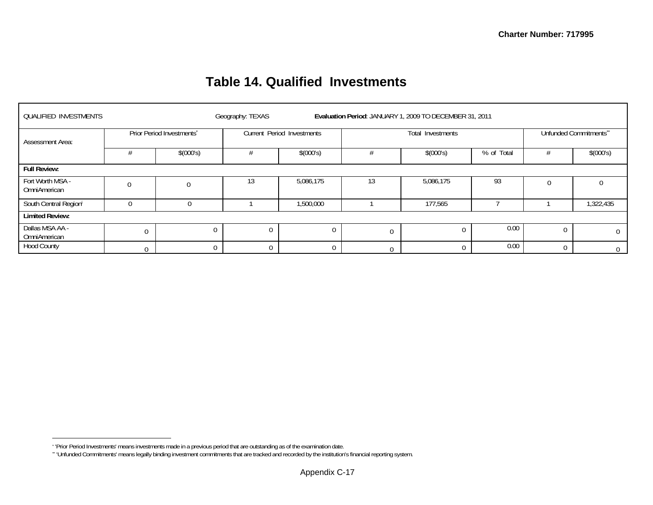## **Table 14. Qualified Investments**

| <b>QUALIFIED INVESTMENTS</b>     |          |                           | Geography: TEXAS |                            |                | Evaluation Period: JANUARY 1, 2009 TO DECEMBER 31, 2011 |            |                        |                |  |  |
|----------------------------------|----------|---------------------------|------------------|----------------------------|----------------|---------------------------------------------------------|------------|------------------------|----------------|--|--|
| Assessment Area:                 |          | Prior Period Investments* |                  | Current Period Investments |                | Total Investments                                       |            | Unfunded Commitments** |                |  |  |
|                                  |          | \$(000's)                 |                  | \$(000's)                  |                | \$(000's)                                               | % of Total |                        | \$(000's)      |  |  |
| <b>Full Review:</b>              |          |                           |                  |                            |                |                                                         |            |                        |                |  |  |
| Fort Worth MSA -<br>OmniAmerican |          |                           | 13               | 5,086,175                  |                | 5,086,175                                               | 93         |                        |                |  |  |
| South Central Regioni            | $\Omega$ |                           |                  | 1,500,000                  |                | 177,565                                                 |            |                        | 1,322,435      |  |  |
| <b>Limited Review:</b>           |          |                           |                  |                            |                |                                                         |            |                        |                |  |  |
| Dallas MSA AA -<br>OmniAmerican  | $\Omega$ | 0                         |                  | $\overline{0}$             | $\overline{0}$ | $\Omega$                                                | 0.00       |                        | $\mathbf 0$    |  |  |
| <b>Hood County</b>               |          | 0                         |                  | $\Omega$                   |                | $\Omega$                                                | 0.00       | $\Omega$               | $\overline{0}$ |  |  |

<sup>\* &#</sup>x27;Prior Period Investments' means investments made in a previous period that are outstanding as of the examination date.

<sup>\*\* &#</sup>x27;Unfunded Commitments' means legally binding investment commitments that are tracked and recorded by the institution's financial reporting system.